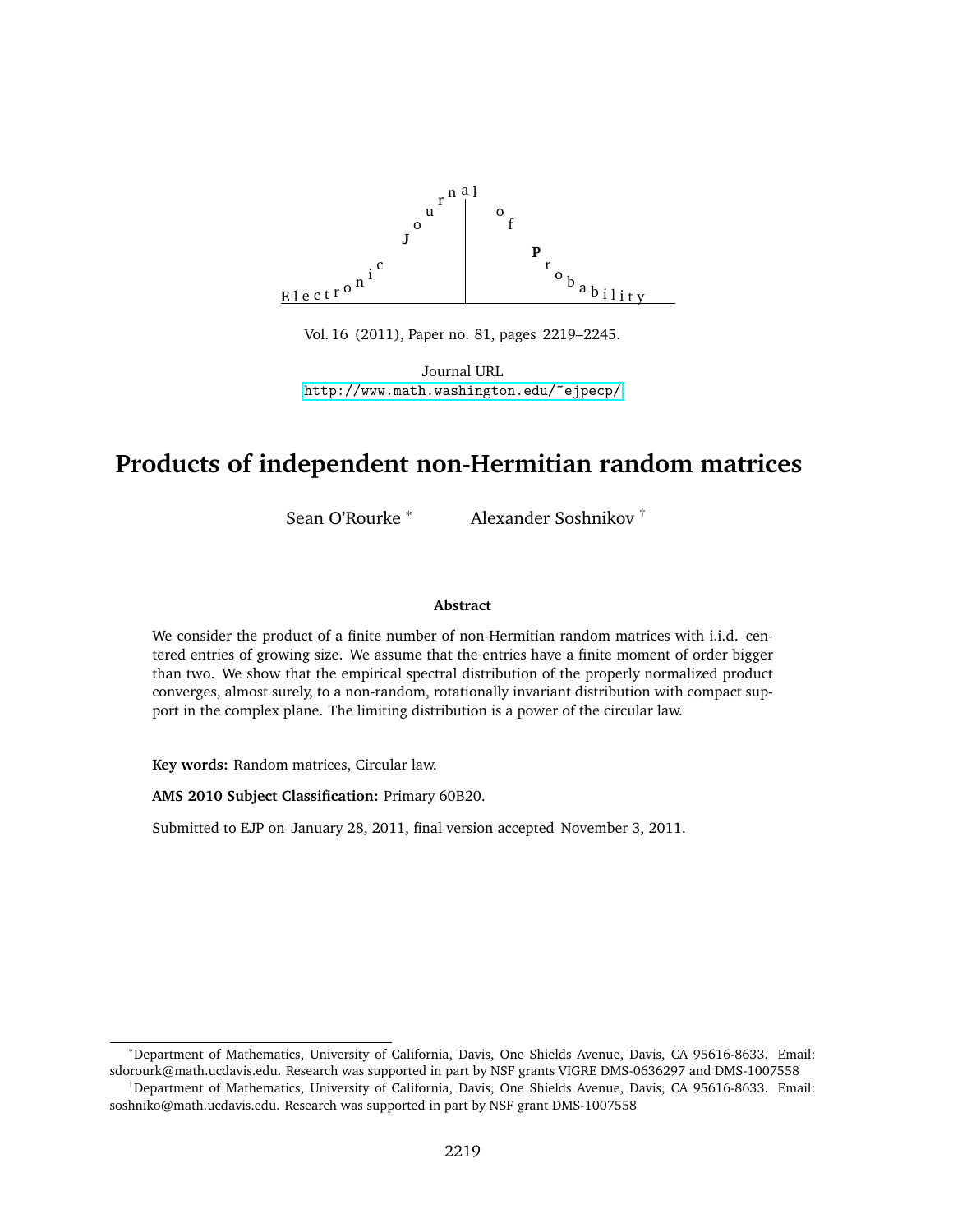

Vol. 16 (2011), Paper no. 81, pages 2219–2245.

Journal URL <http://www.math.washington.edu/~ejpecp/>

# **Products of independent non-Hermitian random matrices**

Sean O'Rourke <sup>∗</sup> Alexander Soshnikov †

#### **Abstract**

We consider the product of a finite number of non-Hermitian random matrices with i.i.d. centered entries of growing size. We assume that the entries have a finite moment of order bigger than two. We show that the empirical spectral distribution of the properly normalized product converges, almost surely, to a non-random, rotationally invariant distribution with compact support in the complex plane. The limiting distribution is a power of the circular law.

**Key words:** Random matrices, Circular law.

**AMS 2010 Subject Classification:** Primary 60B20.

Submitted to EJP on January 28, 2011, final version accepted November 3, 2011.

<sup>∗</sup>Department of Mathematics, University of California, Davis, One Shields Avenue, Davis, CA 95616-8633. Email: sdorourk@math.ucdavis.edu. Research was supported in part by NSF grants VIGRE DMS-0636297 and DMS-1007558

<sup>†</sup>Department of Mathematics, University of California, Davis, One Shields Avenue, Davis, CA 95616-8633. Email: soshniko@math.ucdavis.edu. Research was supported in part by NSF grant DMS-1007558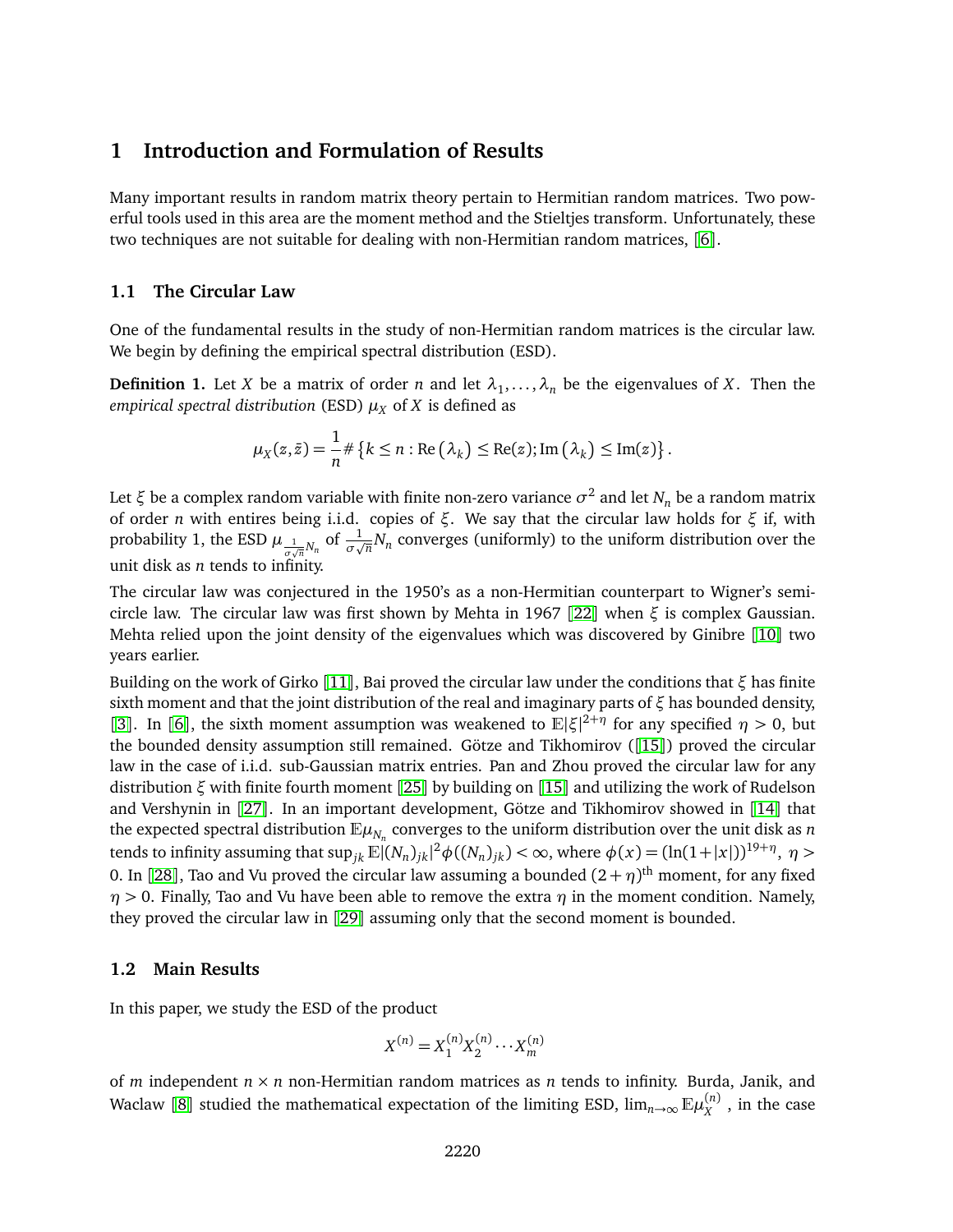# **1 Introduction and Formulation of Results**

Many important results in random matrix theory pertain to Hermitian random matrices. Two powerful tools used in this area are the moment method and the Stieltjes transform. Unfortunately, these two techniques are not suitable for dealing with non-Hermitian random matrices, [[6](#page-25-0)].

#### **1.1 The Circular Law**

One of the fundamental results in the study of non-Hermitian random matrices is the circular law. We begin by defining the empirical spectral distribution (ESD).

**Definition 1.** Let *X* be a matrix of order *n* and let  $\lambda_1, \ldots, \lambda_n$  be the eigenvalues of *X*. Then the *empirical spectral distribution* (ESD)  $\mu_X$  of *X* is defined as

$$
\mu_X(z,\bar{z}) = \frac{1}{n} \# \left\{ k \leq n : \text{Re} \left( \lambda_k \right) \leq \text{Re}(z); \text{Im} \left( \lambda_k \right) \leq \text{Im}(z) \right\}.
$$

Let *ξ* be a complex random variable with finite non-zero variance *σ* 2 and let *N<sup>n</sup>* be a random matrix of order *n* with entires being i.i.d. copies of *ξ*. We say that the circular law holds for *ξ* if, with probability 1, the ESD  $\mu_{\frac{1}{\sigma\sqrt{n}}N_n}$  of  $\frac{1}{\sigma\sqrt{n}}N_n$  converges (uniformly) to the uniform distribution over the unit disk as *n* tends to infinity.

The circular law was conjectured in the 1950's as a non-Hermitian counterpart to Wigner's semicircle law. The circular law was first shown by Mehta in 1967 [[22](#page-26-0)] when *ξ* is complex Gaussian. Mehta relied upon the joint density of the eigenvalues which was discovered by Ginibre [[10](#page-25-1)] two years earlier.

Building on the work of Girko [[11](#page-25-2)], Bai proved the circular law under the conditions that *ξ* has finite sixth moment and that the joint distribution of the real and imaginary parts of *ξ* has bounded density, [[3](#page-24-0)]. In [[6](#page-25-0)], the sixth moment assumption was weakened to  $\mathbb{E}|\xi|^{2+\eta}$  for any specified  $\eta > 0$ , but the bounded density assumption still remained. Götze and Tikhomirov ([[15](#page-25-3)]) proved the circular law in the case of i.i.d. sub-Gaussian matrix entries. Pan and Zhou proved the circular law for any distribution *ξ* with finite fourth moment [[25](#page-26-1)] by building on [[15](#page-25-3)] and utilizing the work of Rudelson and Vershynin in [[27](#page-26-2)]. In an important development, Götze and Tikhomirov showed in [[14](#page-25-4)] that the expected spectral distribution  $\mathbb{E}\mu_{N_n}$  converges to the uniform distribution over the unit disk as *n* tends to infinity assuming that  $\sup_{jk} \mathbb{E} |(N_n)_{jk}|^2 \phi((N_n)_{jk}) < \infty$ , where  $\phi(x) = (\ln(1+|x|))^{19+\eta}, \ \eta > 0$ 0. In [[28](#page-26-3)], Tao and Vu proved the circular law assuming a bounded  $(2+\eta)^\text{th}$  moment, for any fixed  $\eta$  > 0. Finally, Tao and Vu have been able to remove the extra  $\eta$  in the moment condition. Namely, they proved the circular law in [[29](#page-26-4)] assuming only that the second moment is bounded.

#### **1.2 Main Results**

In this paper, we study the ESD of the product

$$
X^{(n)} = X_1^{(n)} X_2^{(n)} \cdots X_m^{(n)}
$$

of *m* independent *n* × *n* non-Hermitian random matrices as *n* tends to infinity. Burda, Janik, and Waclaw [[8](#page-25-5)] studied the mathematical expectation of the limiting ESD,  $\lim_{n\to\infty}\mathbb{E}\mu_X^{(n)}$  , in the case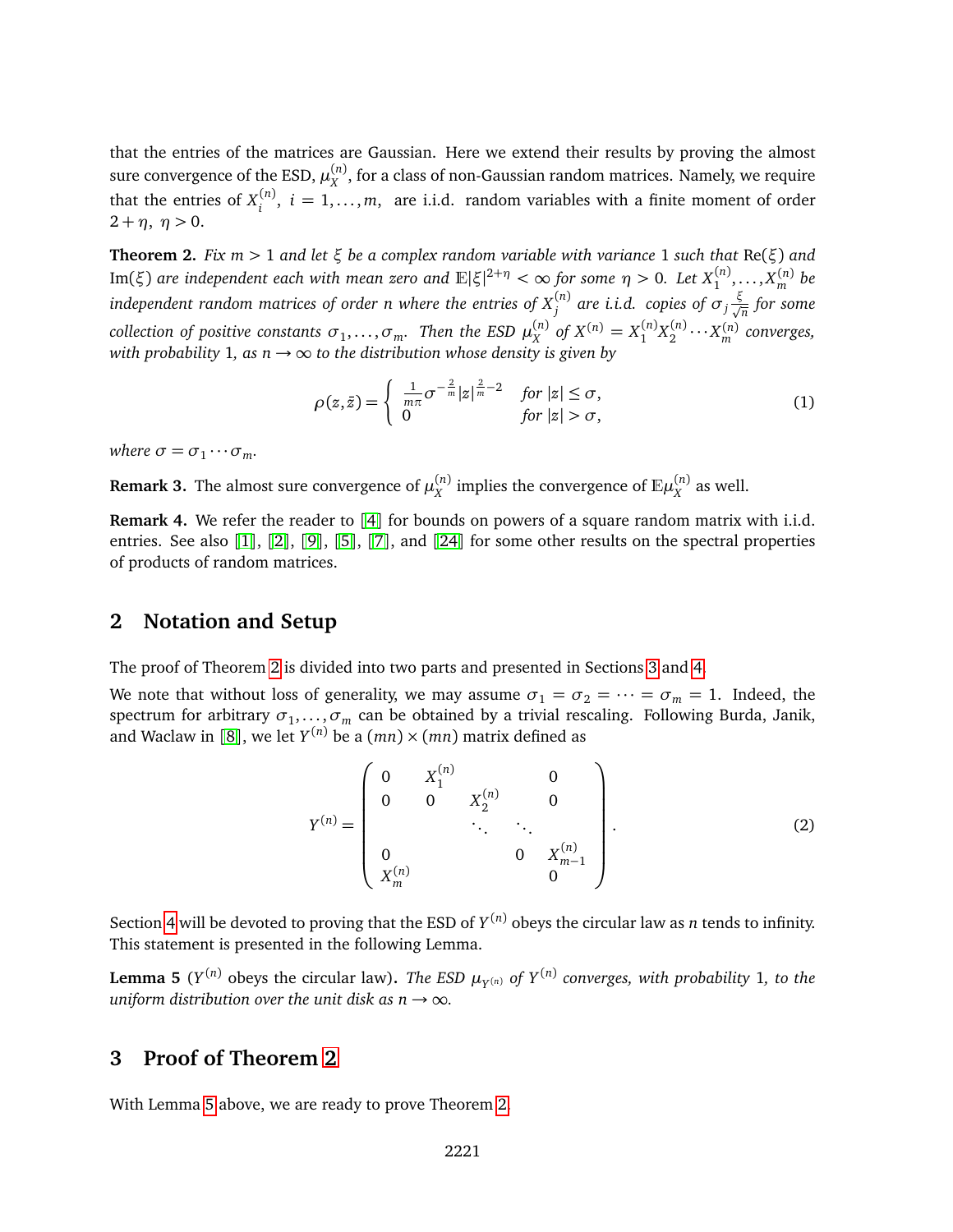that the entries of the matrices are Gaussian. Here we extend their results by proving the almost sure convergence of the ESD,  $\mu_X^{(n)}$ , for a class of non-Gaussian random matrices. Namely, we require that the entries of  $X_i^{(n)}$  $i_j^{(n)}$ ,  $i = 1, \ldots, m$ , are i.i.d. random variables with a finite moment of order  $2 + \eta$ ,  $\eta > 0$ .

<span id="page-2-0"></span>**Theorem 2.** *Fix m >* 1 *and let ξ be a complex random variable with variance* 1 *such that* Re(*ξ*) *and*  ${\rm Im}(\xi)$  are independent each with mean zero and  $\mathbb{E}|\xi|^{2+\eta}<\infty$  for some  $\eta>0.$  Let  $X^{(n)}_1,\ldots,X^{(n)}_m$  be  $i$ ndependent random matrices of order  $n$  where the entries of  $X_j^{(n)}$  are  $i.i.d.$  copies of  $\sigma_j\frac{\xi}{\sqrt{n}}$  for some collection of positive constants  $\sigma_1,\ldots,\sigma_m$ . Then the ESD  $\mu_X^{(n)}$  of  $X^{(n)}=X_1^{(n)}X_2^{(n)}\cdots X_m^{(n)}$  converges, *with probability* 1, *as*  $n \rightarrow \infty$  *to the distribution whose density is given by* 

<span id="page-2-4"></span>
$$
\rho(z,\bar{z}) = \begin{cases}\n\frac{1}{m\pi}\sigma^{-\frac{2}{m}}|z|^{\frac{2}{m}-2} & \text{for } |z| \le \sigma, \\
0 & \text{for } |z| > \sigma,\n\end{cases}
$$
\n(1)

*where*  $\sigma = \sigma_1 \cdots \sigma_m$ *.* 

**Remark 3.** The almost sure convergence of  $\mu_X^{(n)}$  implies the convergence of  $\mathbb{E}\mu_X^{(n)}$  as well.

**Remark [4](#page-25-6).** We refer the reader to [4] for bounds on powers of a square random matrix with i.i.d. entries. See also [[1](#page-24-1)], [[2](#page-24-2)], [[9](#page-25-7)], [[5](#page-25-8)], [[7](#page-25-9)], and [[24](#page-26-5)] for some other results on the spectral properties of products of random matrices.

## **2 Notation and Setup**

The proof of Theorem [2](#page-2-0) is divided into two parts and presented in Sections [3](#page-2-1) and [4.](#page-3-0)

We note that without loss of generality, we may assume  $\sigma_1 = \sigma_2 = \cdots = \sigma_m = 1$ . Indeed, the  ${\rm spectrum~for~arbitrary}$   $\sigma_1,...,\sigma_m$  can be obtained by a trivial rescaling. Following Burda, Janik, and Waclaw in [[8](#page-25-5)], we let  $Y^{(n)}$  be a  $(mn)\times (mn)$  matrix defined as

<span id="page-2-3"></span>
$$
Y^{(n)} = \begin{pmatrix} 0 & X_1^{(n)} & 0 \\ 0 & 0 & X_2^{(n)} & 0 \\ & \ddots & \ddots & \ddots \\ 0 & & 0 & X_{m-1}^{(n)} \\ X_m^{(n)} & & 0 \end{pmatrix}.
$$
 (2)

Section [4](#page-3-0) will be devoted to proving that the ESD of *Y* (*n*) obeys the circular law as *n* tends to infinity. This statement is presented in the following Lemma.

<span id="page-2-2"></span>**Lemma 5**  $(Y^{(n)}$  obeys the circular law). *The ESD*  $\mu_{Y^{(n)}}$  *of*  $Y^{(n)}$  *converges, with probability* 1*, to the uniform distribution over the unit disk as n*  $\rightarrow \infty$ *.* 

# <span id="page-2-1"></span>**3 Proof of Theorem [2](#page-2-0)**

With Lemma [5](#page-2-2) above, we are ready to prove Theorem [2.](#page-2-0)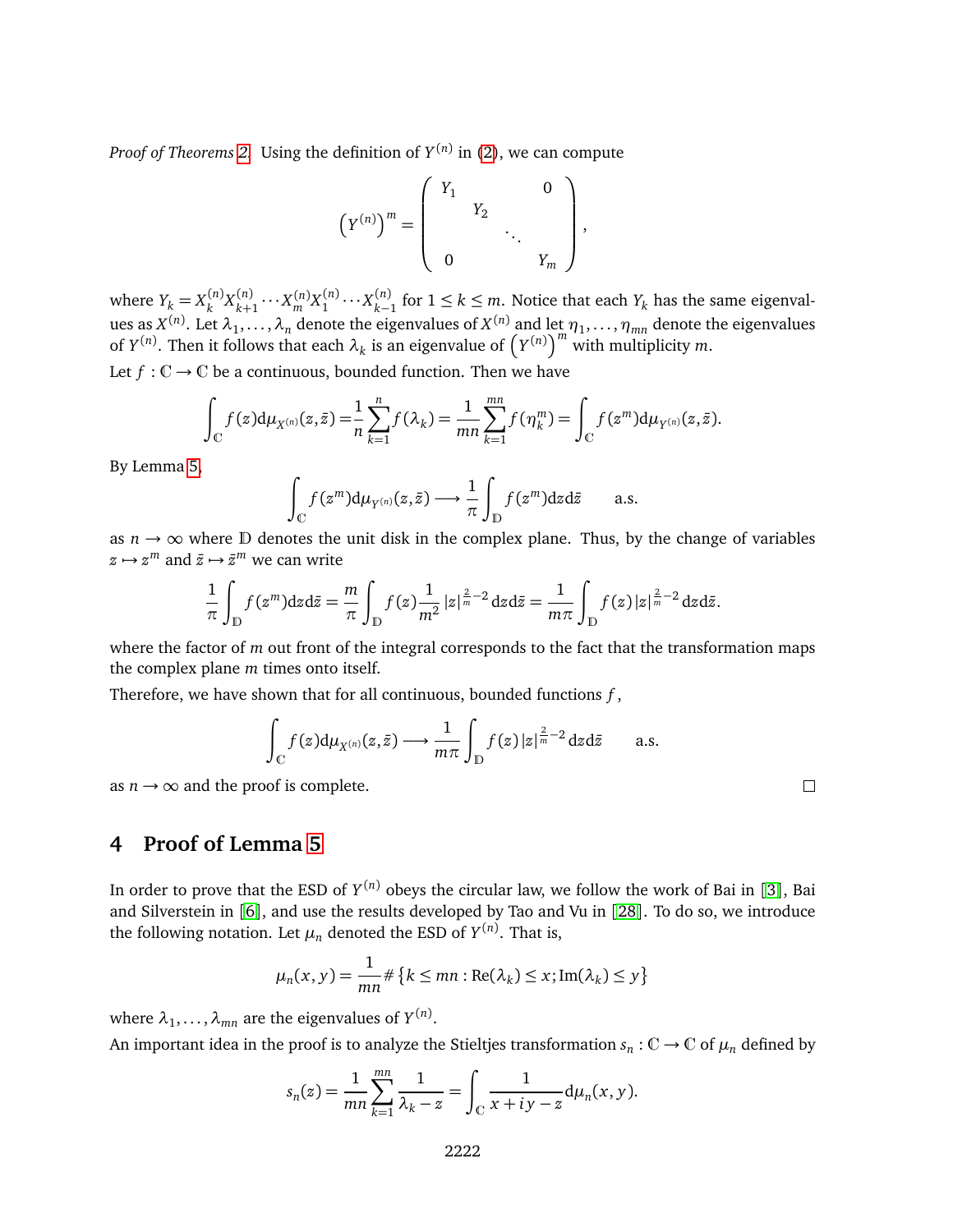*Proof of Theorems [2.](#page-2-0)* Using the definition of *Y* (*n*) in [\(2\)](#page-2-3), we can compute

$$
(Y^{(n)})^m = \begin{pmatrix} Y_1 & & & 0 \\ & Y_2 & & \\ & & \ddots & \\ 0 & & & Y_m \end{pmatrix},
$$

where  $Y_k = X_k^{(n)}$  $k^{(n)}X_{k+}^{(n)}$  $\sum_{k+1}^{(n)} \cdots X_m^{(n)} X_1^{(n)} \cdots X_{k-1}^{(n)}$  for 1 ≤ *k* ≤ *m*. Notice that each  $Y_k$  has the same eigenvalues as  $X^{(n)}$ . Let  $\lambda_1,\ldots,\lambda_n$  denote the eigenvalues of  $X^{(n)}$  and let  $\eta_1,\ldots,\eta_{mn}$  denote the eigenvalues of  $Y^{(n)}$ . Then it follows that each  $\lambda_k$  is an eigenvalue of  $(Y^{(n)})^m$  with multiplicity *m*.

Let  $f: \mathbb{C} \to \mathbb{C}$  be a continuous, bounded function. Then we have

$$
\int_{\mathbb{C}} f(z) d\mu_{X^{(n)}}(z, \bar{z}) = \frac{1}{n} \sum_{k=1}^{n} f(\lambda_k) = \frac{1}{mn} \sum_{k=1}^{mn} f(\eta_k^m) = \int_{\mathbb{C}} f(z^m) d\mu_{Y^{(n)}}(z, \bar{z}).
$$

By Lemma [5,](#page-2-2)

$$
\int_{\mathbb{C}} f(z^m) d\mu_{Y^{(n)}}(z,\bar{z}) \longrightarrow \frac{1}{\pi} \int_{\mathbb{D}} f(z^m) dz d\bar{z} \quad \text{a.s.}
$$

as  $n \to \infty$  where D denotes the unit disk in the complex plane. Thus, by the change of variables  $z \mapsto z^m$  and  $\bar{z} \mapsto \bar{z}^m$  we can write

$$
\frac{1}{\pi}\int_{\mathbb{D}}f(z^m)dzd\bar{z}=\frac{m}{\pi}\int_{\mathbb{D}}f(z)\frac{1}{m^2}|z|^{\frac{2}{m}-2}dzd\bar{z}=\frac{1}{m\pi}\int_{\mathbb{D}}f(z)|z|^{\frac{2}{m}-2}dzd\bar{z}.
$$

where the factor of *m* out front of the integral corresponds to the fact that the transformation maps the complex plane *m* times onto itself.

Therefore, we have shown that for all continuous, bounded functions *f* ,

$$
\int_{\mathbb{C}} f(z) d\mu_{X^{(n)}}(z, \bar{z}) \longrightarrow \frac{1}{m\pi} \int_{\mathbb{D}} f(z) |z|^{\frac{2}{m}-2} dz d\bar{z} \quad \text{a.s.}
$$

as  $n \rightarrow \infty$  and the proof is complete.

# <span id="page-3-0"></span>**4 Proof of Lemma [5](#page-2-2)**

In order to prove that the ESD of *Y* (*n*) obeys the circular law, we follow the work of Bai in [[3](#page-24-0)], Bai and Silverstein in [[6](#page-25-0)], and use the results developed by Tao and Vu in [[28](#page-26-3)]. To do so, we introduce the following notation. Let  $\mu_n$  denoted the ESD of  $Y^{(n)}$ . That is,

$$
\mu_n(x, y) = \frac{1}{mn} \# \{ k \le mn : \text{Re}(\lambda_k) \le x; \text{Im}(\lambda_k) \le y \}
$$

where  $\lambda_1,\ldots,\lambda_{mn}$  are the eigenvalues of  $Y^{(n)}.$ 

An important idea in the proof is to analyze the Stieltjes transformation  $s_n : \mathbb{C} \to \mathbb{C}$  of  $\mu_n$  defined by

$$
s_n(z) = \frac{1}{mn} \sum_{k=1}^{mn} \frac{1}{\lambda_k - z} = \int_{\mathbb{C}} \frac{1}{x + iy - z} d\mu_n(x, y).
$$

 $\Box$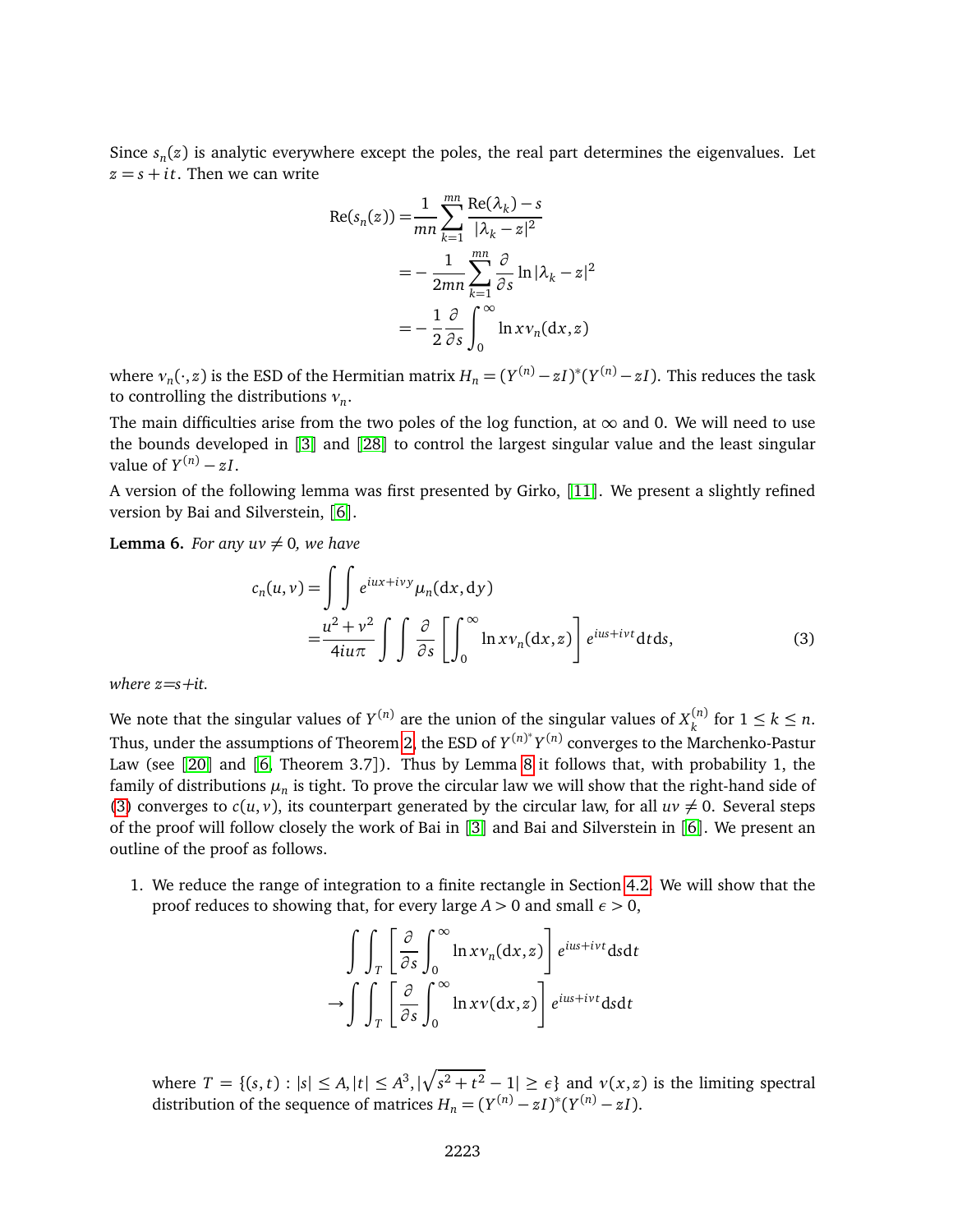Since *s<sup>n</sup>* (*z*) is analytic everywhere except the poles, the real part determines the eigenvalues. Let  $z = s + it$ . Then we can write

$$
Re(s_n(z)) = \frac{1}{mn} \sum_{k=1}^{mn} \frac{Re(\lambda_k) - s}{|\lambda_k - z|^2}
$$
  
= 
$$
-\frac{1}{2mn} \sum_{k=1}^{mn} \frac{\partial}{\partial s} ln |\lambda_k - z|^2
$$
  
= 
$$
-\frac{1}{2} \frac{\partial}{\partial s} \int_0^\infty ln x v_n(dx, z)
$$

where  $v_n(\cdot,z)$  is the ESD of the Hermitian matrix  $H_n = (Y^{(n)} - zI)^*(Y^{(n)} - zI).$  This reduces the task to controlling the distributions *ν<sup>n</sup>* .

The main difficulties arise from the two poles of the log function, at  $\infty$  and 0. We will need to use the bounds developed in [[3](#page-24-0)] and [[28](#page-26-3)] to control the largest singular value and the least singular value of  $Y^{(n)} - zI$ .

A version of the following lemma was first presented by Girko, [[11](#page-25-2)]. We present a slightly refined version by Bai and Silverstein, [[6](#page-25-0)].

**Lemma 6.** *For any*  $uv \neq 0$ *, we have* 

<span id="page-4-0"></span>
$$
c_n(u, v) = \int \int e^{iux + ivy} \mu_n(dx, dy)
$$
  
= 
$$
\frac{u^2 + v^2}{4iu\pi} \int \int \frac{\partial}{\partial s} \left[ \int_0^\infty \ln x v_n(dx, z) \right] e^{ius + ivt} dt ds,
$$
 (3)

*where z=s+it.*

We note that the singular values of  $Y^{(n)}$  are the union of the singular values of  $X^{(n)}_\nu$  $\binom{n}{k}$  for  $1 \leq k \leq n$ . Thus, under the assumptions of Theorem [2,](#page-2-0) the ESD of  $Y^{(n)*}Y^{(n)}$  converges to the Marchenko-Pastur Law (see [[20](#page-25-10)] and [[6,](#page-25-0) Theorem 3.7]). Thus by Lemma [8](#page-6-0) it follows that, with probability 1, the family of distributions  $\mu_n$  is tight. To prove the circular law we will show that the right-hand side of [\(3\)](#page-4-0) converges to  $c(u, v)$ , its counterpart generated by the circular law, for all  $uv \neq 0$ . Several steps of the proof will follow closely the work of Bai in [[3](#page-24-0)] and Bai and Silverstein in [[6](#page-25-0)]. We present an outline of the proof as follows.

1. We reduce the range of integration to a finite rectangle in Section [4.2.](#page-5-0) We will show that the proof reduces to showing that, for every large *A >* 0 and small *ε >* 0,

$$
\int\int_{T} \left[ \frac{\partial}{\partial s} \int_{0}^{\infty} \ln x v_{n}(\mathrm{d}x, z) \right] e^{ius + ivt} \mathrm{d}s \mathrm{d}t
$$

$$
\to \int\int_{T} \left[ \frac{\partial}{\partial s} \int_{0}^{\infty} \ln x v(\mathrm{d}x, z) \right] e^{ius + ivt} \mathrm{d}s \mathrm{d}t
$$

where  $T = \{(s, t) : |s| \le A, |t| \le A^3, |\sqrt{s^2 + t^2} - 1| \ge \epsilon\}$  and  $v(x, z)$  is the limiting spectral distribution of the sequence of matrices  $H_n = (Y^{(n)} - zI)^*(Y^{(n)} - zI)$ .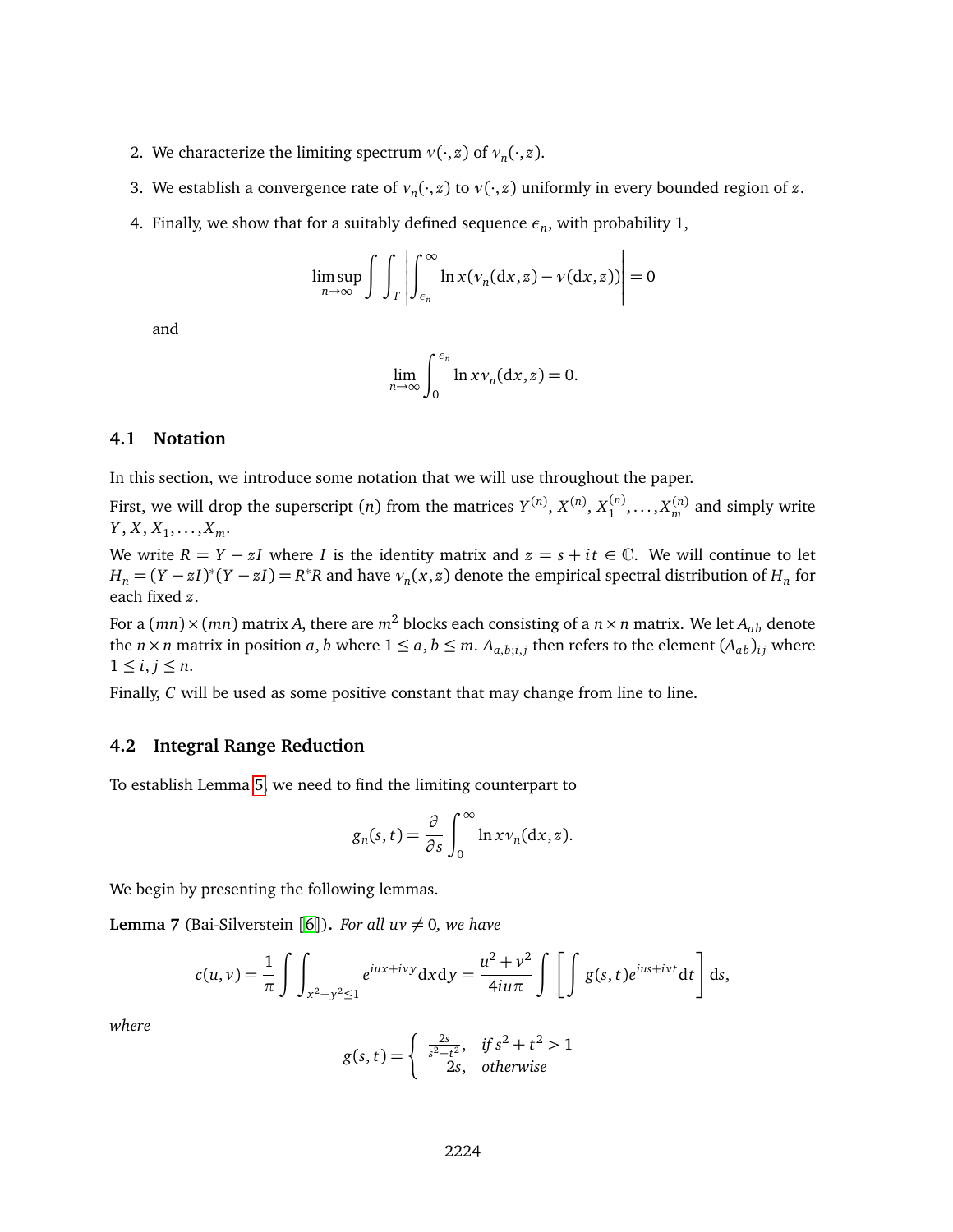- 2. We characterize the limiting spectrum  $v(\cdot, z)$  of  $v_n(\cdot, z)$ .
- 3. We establish a convergence rate of  $v_n(\cdot, z)$  to  $v(\cdot, z)$  uniformly in every bounded region of  $z$ .
- 4. Finally, we show that for a suitably defined sequence  $\epsilon_n$ , with probability 1,

$$
\limsup_{n\to\infty}\int\int\int_T\left|\int_{\epsilon_n}^{\infty}\ln x(\nu_n(\mathrm{d}x,z)-\nu(\mathrm{d}x,z))\right|=0
$$

and

$$
\lim_{n\to\infty}\int_0^{\epsilon_n}\ln xv_n(\mathrm{d} x,z)=0.
$$

### **4.1 Notation**

In this section, we introduce some notation that we will use throughout the paper.

First, we will drop the superscript (*n*) from the matrices  $Y^{(n)}$ ,  $X^{(n)}$ ,  $X^{(n)}_1$ , ...,  $X^{(n)}_m$  and simply write  $Y, X, X_1, \ldots, X_m.$ 

We write  $R = Y - zI$  where *I* is the identity matrix and  $z = s + it \in \mathbb{C}$ . We will continue to let  $H_n = (Y - zI)^*(Y - zI) = R^*R$  and have  $v_n(x, z)$  denote the empirical spectral distribution of  $H_n$  for each fixed *z*.

For a  $(mn) \times (mn)$  matrix *A*, there are  $m^2$  blocks each consisting of a  $n \times n$  matrix. We let  $A_{ab}$  denote the  $n \times n$  matrix in position  $a, b$  where  $1 \le a, b \le m$ .  $A_{a,b;i,j}$  then refers to the element  $(A_{ab})_{ij}$  where  $1 \leq i, j \leq n$ .

Finally, *C* will be used as some positive constant that may change from line to line.

#### <span id="page-5-0"></span>**4.2 Integral Range Reduction**

To establish Lemma [5,](#page-2-2) we need to find the limiting counterpart to

$$
g_n(s,t) = \frac{\partial}{\partial s} \int_0^\infty \ln x v_n(\mathrm{d}x,z).
$$

We begin by presenting the following lemmas.

**Lemma 7** (Bai-Silverstein [[6](#page-25-0)]). *For all uv*  $\neq$  0*, we have* 

$$
c(u,v) = \frac{1}{\pi} \int \int_{x^2 + y^2 \le 1} e^{iux + ivy} dx dy = \frac{u^2 + v^2}{4iu\pi} \int \left[ \int g(s,t) e^{ius + ivt} dt \right] ds,
$$

*where*

$$
g(s,t) = \begin{cases} \frac{2s}{s^2 + t^2}, & \text{if } s^2 + t^2 > 1\\ 2s, & \text{otherwise} \end{cases}
$$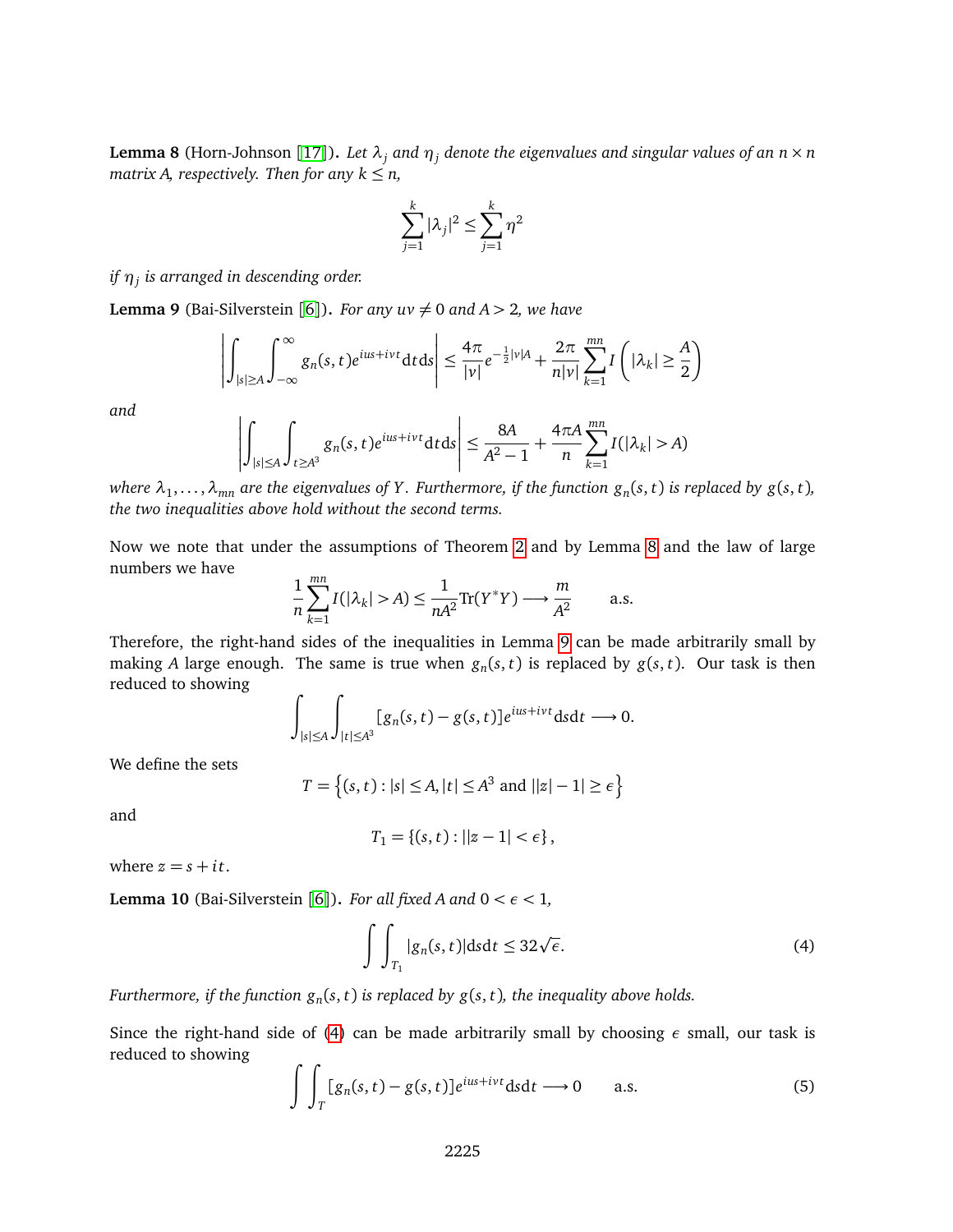<span id="page-6-0"></span>**Lemma 8** (Horn-Johnson [[17](#page-25-11)]). *Let*  $\lambda_j$  *and*  $\eta_j$  *denote the eigenvalues and singular values of an*  $n \times n$ *matrix A, respectively. Then for any*  $k \leq n$ ,

$$
\sum_{j=1}^k |\lambda_j|^2 \le \sum_{j=1}^k \eta^2
$$

*if η<sup>j</sup> is arranged in descending order.*

<span id="page-6-1"></span>**Lemma 9** (Bai-Silverstein [[6](#page-25-0)]). *For any uv*  $\neq$  0 *and A* > 2*, we have* 

$$
\left| \int_{|s| \ge A} \int_{-\infty}^{\infty} g_n(s, t) e^{ius + ivt} dt ds \right| \le \frac{4\pi}{|v|} e^{-\frac{1}{2}|v|A} + \frac{2\pi}{n|v|} \sum_{k=1}^{mn} I\left( |\lambda_k| \ge \frac{A}{2} \right)
$$

*and*

$$
\left| \int_{|s| \le A} \int_{t \ge A^3} g_n(s,t) e^{ius+ivt} dt ds \right| \le \frac{8A}{A^2 - 1} + \frac{4\pi A}{n} \sum_{k=1}^{mn} I(|\lambda_k| > A)
$$

where  $\lambda_1,\ldots,\lambda_{mn}$  are the eigenvalues of Y . Furthermore, if the function  $g_n(s,t)$  is replaced by  $g(s,t)$ , *the two inequalities above hold without the second terms.*

Now we note that under the assumptions of Theorem [2](#page-2-0) and by Lemma [8](#page-6-0) and the law of large numbers we have

$$
\frac{1}{n}\sum_{k=1}^{mn}I(|\lambda_k|>A) \le \frac{1}{nA^2}\text{Tr}(Y^*Y) \longrightarrow \frac{m}{A^2} \quad \text{a.s.}
$$

Therefore, the right-hand sides of the inequalities in Lemma [9](#page-6-1) can be made arbitrarily small by making *A* large enough. The same is true when  $g_n(s,t)$  is replaced by  $g(s,t)$ . Our task is then reduced to showing

$$
\int_{|s| \le A} \int_{|t| \le A^3} [g_n(s,t) - g(s,t)] e^{ius + ivt} ds dt \longrightarrow 0.
$$

We define the sets

$$
T = \{(s, t) : |s| \le A, |t| \le A^3 \text{ and } ||z| - 1| \ge \epsilon\}
$$

and

$$
T_1 = \{(s,t): ||z-1| < \epsilon\},
$$

where  $z = s + it$ .

**Lemma 10** (Bai-Silverstein [[6](#page-25-0)]). *For all fixed A and*  $0 < \epsilon < 1$ *,* 

<span id="page-6-2"></span>
$$
\int\int_{T_1} |g_n(s,t)| \mathrm{d}s \mathrm{d}t \leq 32\sqrt{\epsilon}.\tag{4}
$$

*Furthermore, if the function g<sup>n</sup>* (*s*, *t*) *is replaced by g*(*s*, *t*)*, the inequality above holds.*

Since the right-hand side of [\(4\)](#page-6-2) can be made arbitrarily small by choosing  $\epsilon$  small, our task is reduced to showing

<span id="page-6-3"></span>
$$
\int\int_{T} [g_n(s,t) - g(s,t)]e^{ius+ivt} dsdt \longrightarrow 0 \quad \text{a.s.}
$$
 (5)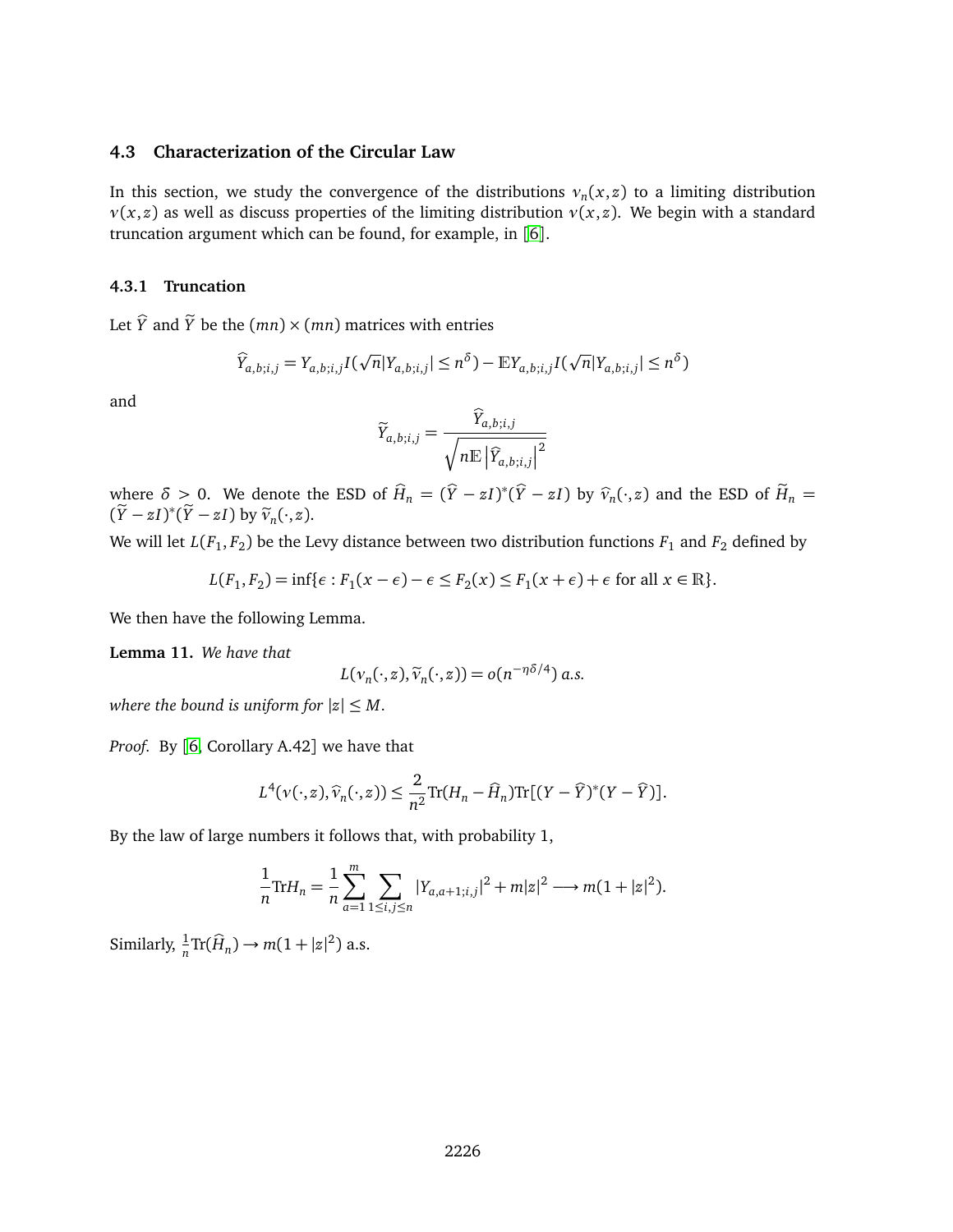#### **4.3 Characterization of the Circular Law**

In this section, we study the convergence of the distributions  $v_n(x, z)$  to a limiting distribution *ν*(*x*, *z*) as well as discuss properties of the limiting distribution *ν*(*x*, *z*). We begin with a standard truncation argument which can be found, for example, in [[6](#page-25-0)].

#### **4.3.1 Truncation**

Let  $\hat{Y}$  and  $\tilde{Y}$  be the  $(mn) \times (mn)$  matrices with entries

$$
\widehat{Y}_{a,b;i,j} = Y_{a,b;i,j}I(\sqrt{n}|Y_{a,b;i,j}| \leq n^{\delta}) - \mathbb{E}Y_{a,b;i,j}I(\sqrt{n}|Y_{a,b;i,j}| \leq n^{\delta})
$$

and

$$
\widetilde{Y}_{a,b;i,j} = \frac{\widehat{Y}_{a,b;i,j}}{\sqrt{n \mathbb{E} |\widehat{Y}_{a,b;i,j}|^2}}
$$

where  $\delta > 0$ . We denote the ESD of  $\widehat{H}_n = (\widehat{Y} - zI)^*(\widehat{Y} - zI)$  by  $\widehat{v}_n(\cdot, z)$  and the ESD of  $\widetilde{H}_n = (\widetilde{Y} - zI)^*(\widetilde{Y} - zI)$  $(\widetilde{Y} - zI)^*(\widetilde{Y} - zI)$  by  $\widetilde{v}_n(\cdot, z)$ .

We will let  $L(F_1,F_2)$  be the Levy distance between two distribution functions  $F_1$  and  $F_2$  defined by

$$
L(F_1, F_2) = \inf \{ \epsilon : F_1(x - \epsilon) - \epsilon \le F_2(x) \le F_1(x + \epsilon) + \epsilon \text{ for all } x \in \mathbb{R} \}.
$$

We then have the following Lemma.

<span id="page-7-0"></span>**Lemma 11.** *We have that*

$$
L(\nu_n(\cdot,z),\widetilde{\nu}_n(\cdot,z))=o(n^{-\eta\delta/4})\ a.s.
$$

*where the bound is uniform for*  $|z| \leq M$ .

*Proof.* By [[6,](#page-25-0) Corollary A.42] we have that

$$
L^{4}(v(\cdot,z),\widehat{v}_{n}(\cdot,z)) \leq \frac{2}{n^{2}} \text{Tr}(H_{n}-\widehat{H}_{n}) \text{Tr}[(Y-\widehat{Y})^{*}(Y-\widehat{Y})].
$$

By the law of large numbers it follows that, with probability 1,

$$
\frac{1}{n}\text{Tr}H_n = \frac{1}{n}\sum_{a=1}^m \sum_{1 \le i,j \le n} |Y_{a,a+1;i,j}|^2 + m|z|^2 \longrightarrow m(1+|z|^2).
$$

Similarly,  $\frac{1}{n} \text{Tr}(\widehat{H}_n) \to m(1 + |z|^2)$  a.s.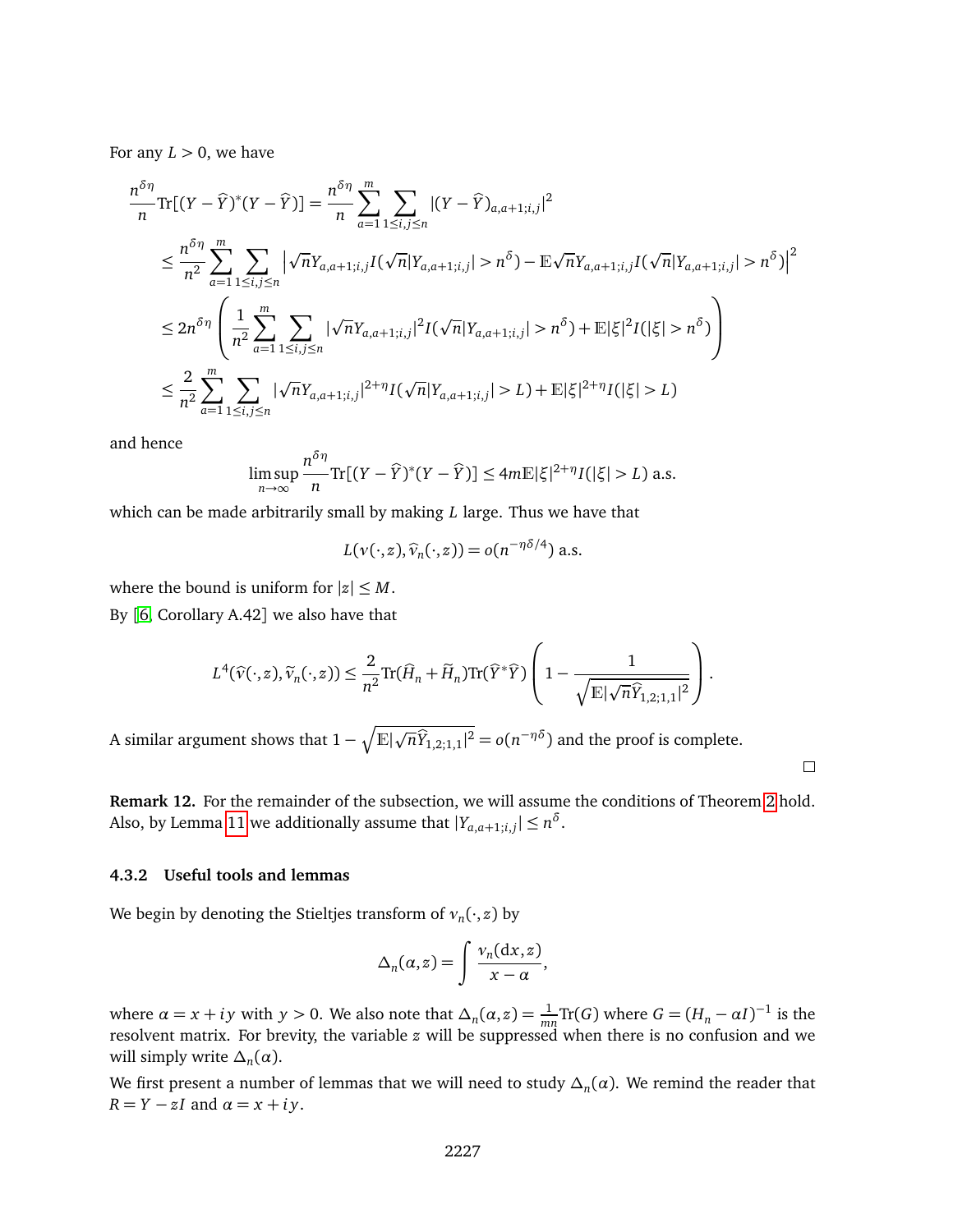For any  $L > 0$ , we have

$$
\frac{n^{\delta \eta}}{n} \text{Tr}[(Y - \hat{Y})^*(Y - \hat{Y})] = \frac{n^{\delta \eta}}{n} \sum_{a=1}^m \sum_{1 \le i,j \le n} |(Y - \hat{Y})_{a,a+1;i,j}|^2
$$
\n
$$
\le \frac{n^{\delta \eta}}{n^2} \sum_{a=1}^m \sum_{1 \le i,j \le n} |\sqrt{n}Y_{a,a+1;i,j}I(\sqrt{n}|Y_{a,a+1;i,j}| > n^{\delta}) - \mathbb{E}\sqrt{n}Y_{a,a+1;i,j}I(\sqrt{n}|Y_{a,a+1;i,j}| > n^{\delta})|^2
$$
\n
$$
\le 2n^{\delta \eta} \left(\frac{1}{n^2} \sum_{a=1}^m \sum_{1 \le i,j \le n} |\sqrt{n}Y_{a,a+1;i,j}|^2 I(\sqrt{n}|Y_{a,a+1;i,j}| > n^{\delta}) + \mathbb{E}|\xi|^2 I(|\xi| > n^{\delta})\right)
$$
\n
$$
\le \frac{2}{n^2} \sum_{a=1}^m \sum_{1 \le i,j \le n} |\sqrt{n}Y_{a,a+1;i,j}|^{2+\eta} I(\sqrt{n}|Y_{a,a+1;i,j}| > L) + \mathbb{E}|\xi|^{2+\eta} I(|\xi| > L)
$$

and hence

$$
\limsup_{n\to\infty}\frac{n^{\delta\eta}}{n}\text{Tr}[(Y-\widehat{Y})^*(Y-\widehat{Y})]\leq 4m\mathbb{E}|\xi|^{2+\eta}I(|\xi|>L) \text{ a.s.}
$$

which can be made arbitrarily small by making *L* large. Thus we have that

$$
L(\nu(\cdot,z),\widehat{\nu}_n(\cdot,z))=o(n^{-\eta\delta/4})\,\mathrm{a.s.}
$$

where the bound is uniform for  $|z| \leq M$ .

By [[6,](#page-25-0) Corollary A.42] we also have that

$$
L^{4}(\widehat{v}(\cdot,z),\widetilde{v}_{n}(\cdot,z)) \leq \frac{2}{n^{2}} \text{Tr}(\widehat{H}_{n} + \widetilde{H}_{n}) \text{Tr}(\widehat{Y}^{*}\widehat{Y}) \left(1 - \frac{1}{\sqrt{\mathbb{E}|\sqrt{n}\widehat{Y}_{1,2;1,1}|^{2}}}\right).
$$

A similar argument shows that  $1-\sqrt{\mathbb{E}|\sqrt{n}\widehat{Y}_{1,2;1,1}|^2}=o(n^{-\eta\delta})$  and the proof is complete.

**Remark 12.** For the remainder of the subsection, we will assume the conditions of Theorem [2](#page-2-0) hold. Also, by Lemma [11](#page-7-0) we additionally assume that  $|Y_{a,a+1;i,j}| \leq n^{\delta}$ .

 $\Box$ 

#### **4.3.2 Useful tools and lemmas**

We begin by denoting the Stieltjes transform of *ν<sup>n</sup>* (·, *z*) by

$$
\Delta_n(\alpha, z) = \int \frac{\nu_n(\mathrm{d}x, z)}{x - \alpha},
$$

where  $\alpha = x + iy$  with  $y > 0$ . We also note that  $\Delta_n(\alpha, z) = \frac{1}{mn} \text{Tr}(G)$  where  $G = (H_n - \alpha I)^{-1}$  is the resolvent matrix. For brevity, the variable *z* will be suppressed when there is no confusion and we will simply write  $\Delta_n(\alpha)$ .

We first present a number of lemmas that we will need to study  $\Delta_n(\alpha).$  We remind the reader that  $R = Y - zI$  and  $\alpha = x + iy$ .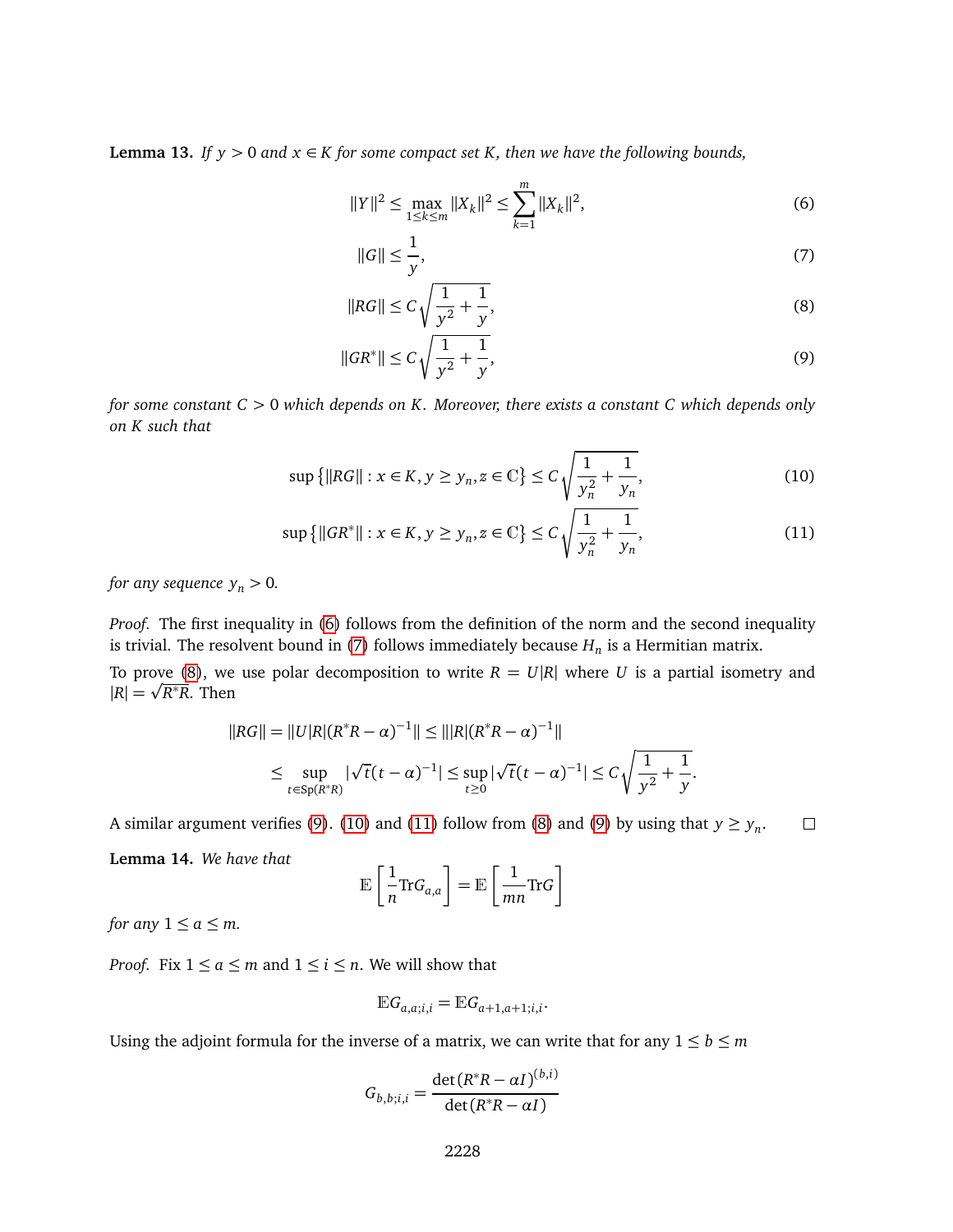<span id="page-9-7"></span>**Lemma 13.** *If*  $y > 0$  *and*  $x \in K$  *for some compact set*  $K$ *, then we have the following bounds,* 

$$
||Y||^2 \le \max_{1 \le k \le m} ||X_k||^2 \le \sum_{k=1}^m ||X_k||^2,\tag{6}
$$

<span id="page-9-3"></span><span id="page-9-2"></span><span id="page-9-1"></span><span id="page-9-0"></span>
$$
||G|| \le \frac{1}{y},\tag{7}
$$

$$
||RG|| \le C \sqrt{\frac{1}{y^2} + \frac{1}{y}},
$$
\n(8)

<span id="page-9-5"></span><span id="page-9-4"></span>
$$
||GR^*|| \le C \sqrt{\frac{1}{y^2} + \frac{1}{y}},\tag{9}
$$

*for some constant C >* 0 *which depends on K. Moreover, there exists a constant C which depends only on K such that*

$$
\sup\left\{\|RG\| : x \in K, y \ge y_n, z \in \mathbb{C}\right\} \le C \sqrt{\frac{1}{y_n^2} + \frac{1}{y_n}},\tag{10}
$$

$$
\sup\left\{\|GR^*\| : x \in K, y \ge y_n, z \in \mathbb{C}\right\} \le C \sqrt{\frac{1}{y_n^2} + \frac{1}{y_n}},\tag{11}
$$

*for any sequence*  $y_n > 0$ .

*Proof.* The first inequality in [\(6\)](#page-9-0) follows from the definition of the norm and the second inequality is trivial. The resolvent bound in [\(7\)](#page-9-1) follows immediately because *H<sup>n</sup>* is a Hermitian matrix.

To prove [\(8\)](#page-9-2), we use polar decomposition to write  $R = U|R|$  where U is a partial isometry and  $|R| = \sqrt{R^*R}$ . Then

$$
||RG|| = ||U|R|(R^*R - \alpha)^{-1}|| \le |||R|(R^*R - \alpha)^{-1}||
$$
  
\n
$$
\le \sup_{t \in Sp(R^*R)} |\sqrt{t}(t - \alpha)^{-1}| \le \sup_{t \ge 0} |\sqrt{t}(t - \alpha)^{-1}| \le C \sqrt{\frac{1}{y^2} + \frac{1}{y}}.
$$

A similar argument verifies [\(9\)](#page-9-3). [\(10\)](#page-9-4) and [\(11\)](#page-9-5) follow from [\(8\)](#page-9-2) and (9) by using that  $y \ge y_n$ .  $\Box$ 

<span id="page-9-6"></span>**Lemma 14.** *We have that*

$$
\mathbb{E}\left[\frac{1}{n}\text{Tr}G_{a,a}\right] = \mathbb{E}\left[\frac{1}{mn}\text{Tr}G\right]
$$

*for any*  $1 \le a \le m$ *.* 

*Proof.* Fix  $1 \le a \le m$  and  $1 \le i \le n$ . We will show that

$$
\mathbb{E} G_{a,a;i,i} = \mathbb{E} G_{a+1,a+1;i,i}.
$$

Using the adjoint formula for the inverse of a matrix, we can write that for any  $1 \le b \le m$ 

$$
G_{b,b;i,i} = \frac{\det(R^*R - \alpha I)^{(b,i)}}{\det(R^*R - \alpha I)}
$$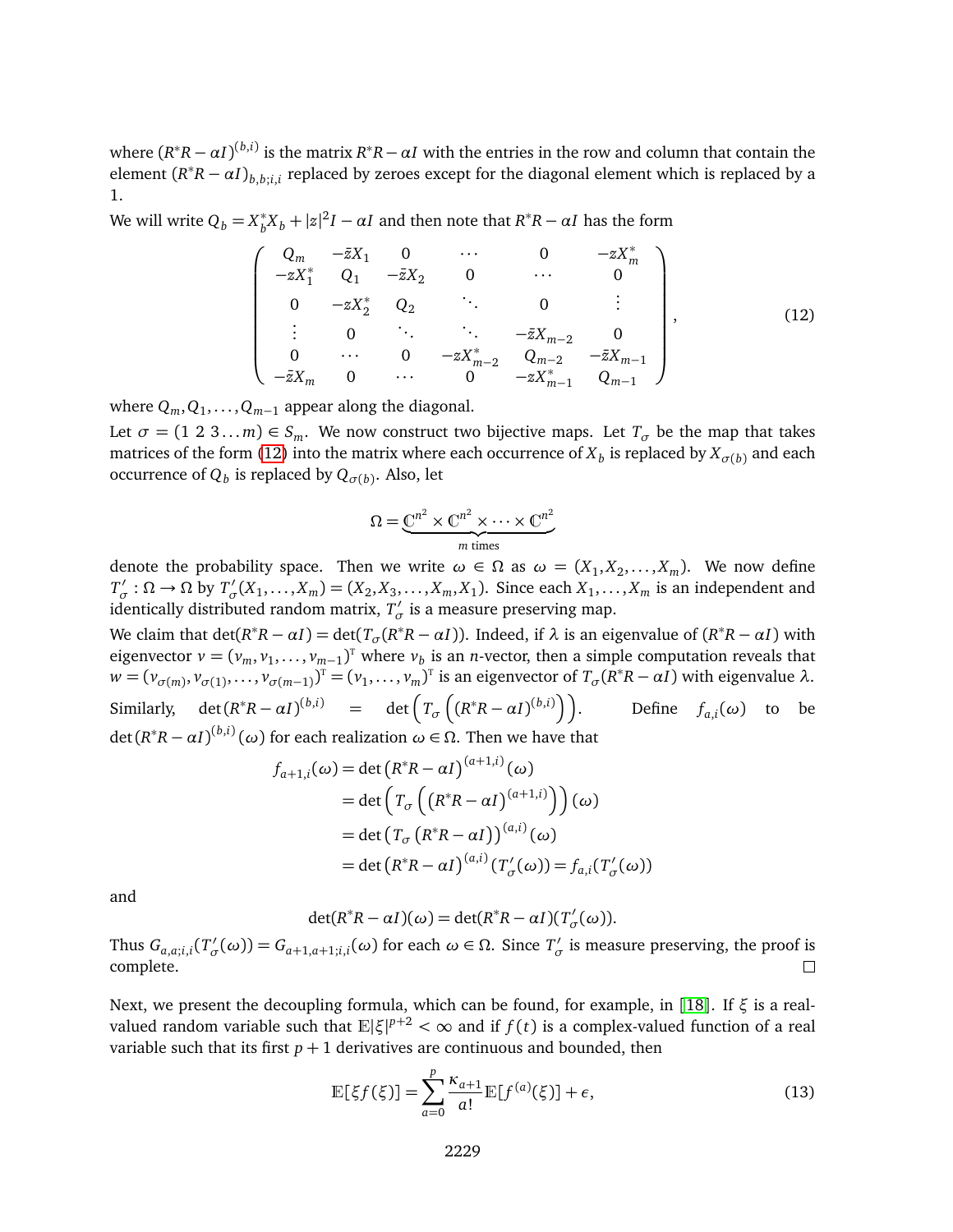where  $(R^*R - \alpha I)^{(b,i)}$  is the matrix  $R^*R - \alpha I$  with the entries in the row and column that contain the element  $(R^*R - \alpha I)_{b,b;i,i}$  replaced by zeroes except for the diagonal element which is replaced by a 1.

We will write  $Q_b = X_b^*$  $b^*b^Xb + |z|^2I - \alpha I$  and then note that  $R^*R - \alpha I$  has the form

<span id="page-10-0"></span>
$$
\begin{pmatrix}\nQ_m & -\bar{z}X_1 & 0 & \cdots & 0 & -zX_m^* \\
-zX_1^* & Q_1 & -\bar{z}X_2 & 0 & \cdots & 0 \\
0 & -zX_2^* & Q_2 & \ddots & 0 & \vdots \\
\vdots & 0 & \ddots & \ddots & -\bar{z}X_{m-2} & 0 \\
0 & \cdots & 0 & -zX_{m-2}^* & Q_{m-2} & -\bar{z}X_{m-1} \\
-\bar{z}X_m & 0 & \cdots & 0 & -zX_{m-1}^* & Q_{m-1}\n\end{pmatrix},
$$
\n(12)

where  $Q_m, Q_1, \ldots, Q_{m-1}$  appear along the diagonal.

Let  $\sigma = (1 \ 2 \ 3 \dots m) \in S_m$ . We now construct two bijective maps. Let  $T_{\sigma}$  be the map that takes matrices of the form [\(12\)](#page-10-0) into the matrix where each occurrence of  $X_b$  is replaced by  $X_{\sigma(b)}$  and each occurrence of  $Q_b$  is replaced by  $Q_{\sigma(b)}.$  Also, let

$$
\Omega = \underbrace{\mathbb{C}^{n^2} \times \mathbb{C}^{n^2} \times \cdots \times \mathbb{C}^{n^2}}_{m \text{ times}}
$$

denote the probability space. Then we write  $\omega \in \Omega$  as  $\omega = (X_1, X_2, \ldots, X_m)$ . We now define  $T'_{\alpha}$  $\sigma'$  :  $\Omega \to \Omega$  by  $T'_{\sigma}$  $J_{\sigma}'(X_1,\ldots,X_m)=(X_2,X_3,\ldots,X_m,X_1)$ . Since each  $X_1,\ldots,X_m$  is an independent and identically distributed random matrix,  $T'_{\alpha}$  $\sigma'$  is a measure preserving map.

We claim that  $det(R^*R - \alpha I) = det(T_{\sigma}(R^*R - \alpha I))$ . Indeed, if  $\lambda$  is an eigenvalue of  $(R^*R - \alpha I)$  with eigenvector  $v = (v_m, v_1, \dots, v_{m-1})^T$  where  $v_b$  is an *n*-vector, then a simple computation reveals that  $w = (v_{\sigma(m)}, v_{\sigma(1)}, \dots, v_{\sigma(m-1)})^T = (v_1, \dots, v_m)^T$  is an eigenvector of  $T_{\sigma}(R^*R - \alpha I)$  with eigenvalue  $\lambda$ . Similarly, det $(R^*R - \alpha I)^{(b,i)}$  = det $\left(T_\sigma\left((R^*R - \alpha I)^{(b,i)}\right)\right)$  $\bigg)$ . Define  $f_{a,i}(\omega)$  to be  $det(R^*R − αI)^{(b,i)}(ω)$  for each realization  $ω ∈ Ω$ . Then we have that

$$
f_{a+1,i}(\omega) = \det (R^*R - \alpha I)^{(a+1,i)}(\omega)
$$
  
= det  $\left(T_{\sigma} \left( (R^*R - \alpha I)^{(a+1,i)} \right) \right)(\omega)$   
= det  $\left(T_{\sigma} (R^*R - \alpha I)^{(a,i)}(\omega) \right)$   
= det  $\left(R^*R - \alpha I\right)^{(a,i)} \left(T'_{\sigma}(\omega)\right) = f_{a,i}(T'_{\sigma}(\omega))$ 

and

det( $R^*R - \alpha I$ )( $\omega$ ) = det( $R^*R - \alpha I$ )( $T'_\sigma$ *σ* (*ω*)).

Thus  $G_{a,a;i,i}(T_o)$  $G$ <sup>*σ*</sup></sup> $T$ </sub><sup> $'$ </sup> $\sigma$ (*ω*)) *= G*<sub>*a*+1,*a*+1;*i*,*i*</sub>(*ω*) for each *ω* ∈ Ω. Since  $T'$ <sub>*σ*</sub>  $\sigma'$  is measure preserving, the proof is complete.  $\Box$ 

Next, we present the decoupling formula, which can be found, for example, in [[18](#page-25-12)]. If *ξ* is a realvalued random variable such that  $\mathbb{E}|\xi|^{p+2}<\infty$  and if  $f(t)$  is a complex-valued function of a real variable such that its first  $p + 1$  derivatives are continuous and bounded, then

<span id="page-10-1"></span>
$$
\mathbb{E}[\xi f(\xi)] = \sum_{a=0}^{p} \frac{\kappa_{a+1}}{a!} \mathbb{E}[f^{(a)}(\xi)] + \epsilon,
$$
\n(13)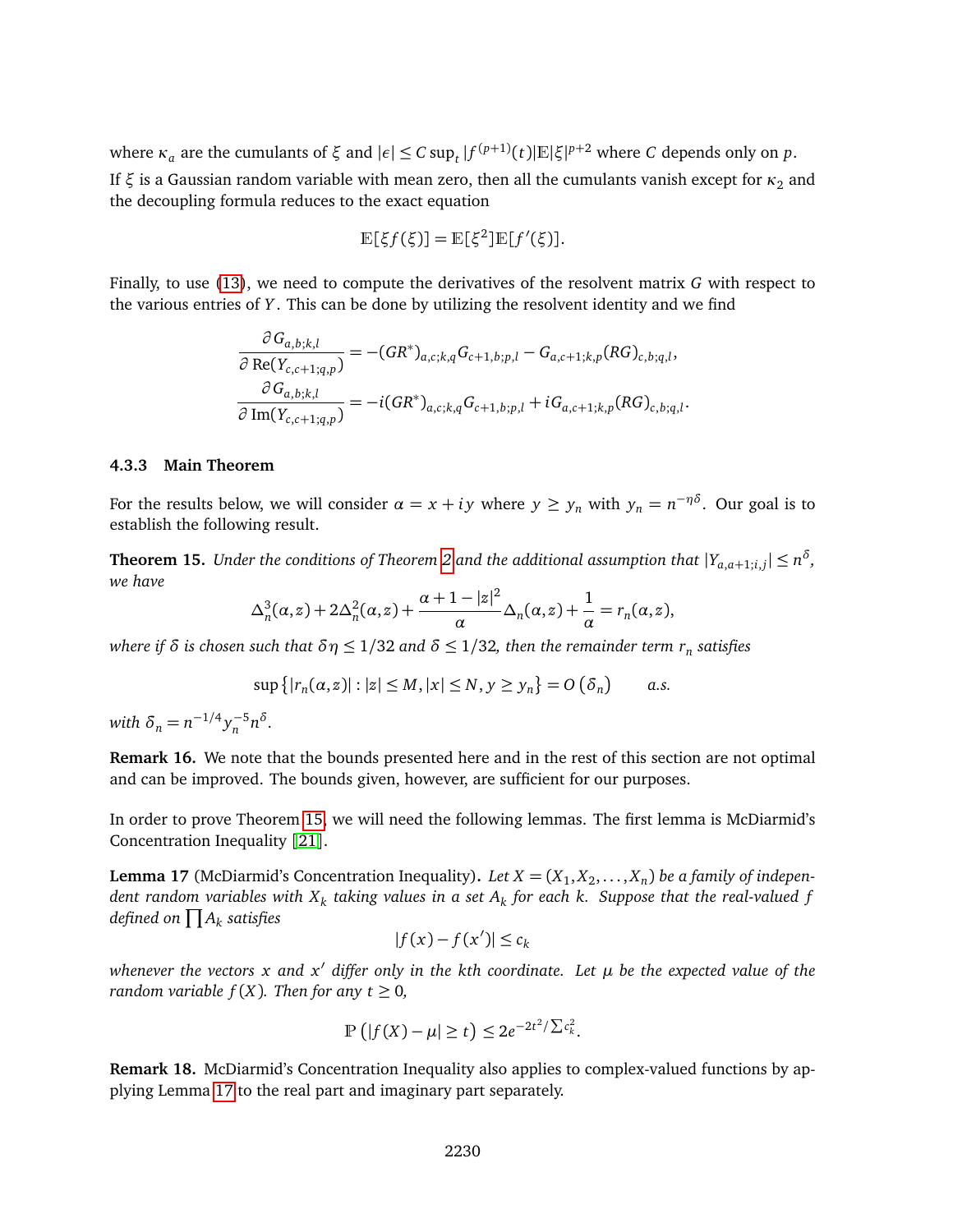$\mathbf{v}$  are the cumulants of  $\xi$  and  $|\epsilon|$  ≤ *C* sup<sub>*t*</sub> | $f^{(p+1)}(t)$ | $\mathbb{E}|\xi|^{p+2}$  where *C* depends only on *p*. If  $\xi$  is a Gaussian random variable with mean zero, then all the cumulants vanish except for  $\kappa_2$  and the decoupling formula reduces to the exact equation

$$
\mathbb{E}[\xi f(\xi)]=\mathbb{E}[\xi^2]\mathbb{E}[f'(\xi)].
$$

Finally, to use [\(13\)](#page-10-1), we need to compute the derivatives of the resolvent matrix *G* with respect to the various entries of *Y* . This can be done by utilizing the resolvent identity and we find

$$
\frac{\partial G_{a,b;k,l}}{\partial \operatorname{Re}(Y_{c,c+1;q,p})} = -(GR^*)_{a,c;k,q} G_{c+1,b;p,l} - G_{a,c+1;k,p}(RG)_{c,b;q,l},
$$
  

$$
\frac{\partial G_{a,b;k,l}}{\partial \operatorname{Im}(Y_{c,c+1;q,p})} = -i(GR^*)_{a,c;k,q} G_{c+1,b;p,l} + iG_{a,c+1;k,p}(RG)_{c,b;q,l}.
$$

#### **4.3.3 Main Theorem**

For the results below, we will consider  $\alpha = x + iy$  where  $y \ge y_n$  with  $y_n = n^{-\eta \delta}$ . Our goal is to establish the following result.

<span id="page-11-0"></span>**Theorem 15.** Under the conditions of Theorem [2](#page-2-0) and the additional assumption that  $|Y_{a,a+1;i,j}| \leq n^{\delta}$ , *we have*

$$
\Delta_n^3(\alpha, z) + 2\Delta_n^2(\alpha, z) + \frac{\alpha + 1 - |z|^2}{\alpha} \Delta_n(\alpha, z) + \frac{1}{\alpha} = r_n(\alpha, z),
$$

*where if δ is chosen such that*  $δη ≤ 1/32$  *and*  $δ ≤ 1/32$ *, then the remainder term*  $r_n$  *satisfies* 

$$
\sup\{|r_n(\alpha, z)| : |z| \le M, |x| \le N, y \ge y_n\} = O(\delta_n) \qquad a.s.
$$

 $with \delta_n = n^{-1/4} y_n^{-5} n^{\delta}.$ 

**Remark 16.** We note that the bounds presented here and in the rest of this section are not optimal and can be improved. The bounds given, however, are sufficient for our purposes.

In order to prove Theorem [15,](#page-11-0) we will need the following lemmas. The first lemma is McDiarmid's Concentration Inequality [[21](#page-25-13)].

<span id="page-11-1"></span>**Lemma 17** (McDiarmid's Concentration Inequality). Let  $X = (X_1, X_2, \ldots, X_n)$  be a family of indepen $d$ ent random variables with  $X_k$  taking values in a set  $A_k$  for each  $k.$  Suppose that the real-valued  $f$ defined on  $\prod A_k$  satisfies

$$
|f(x)-f(x')|\leq c_k
$$

*whenever the vectors x and x*<sup>0</sup> *differ only in the kth coordinate. Let µ be the expected value of the random variable*  $f(X)$ *. Then for any t*  $\geq 0$ *,* 

$$
\mathbb{P}\left(|f(X) - \mu| \ge t\right) \le 2e^{-2t^2/\sum c_k^2}.
$$

**Remark 18.** McDiarmid's Concentration Inequality also applies to complex-valued functions by applying Lemma [17](#page-11-1) to the real part and imaginary part separately.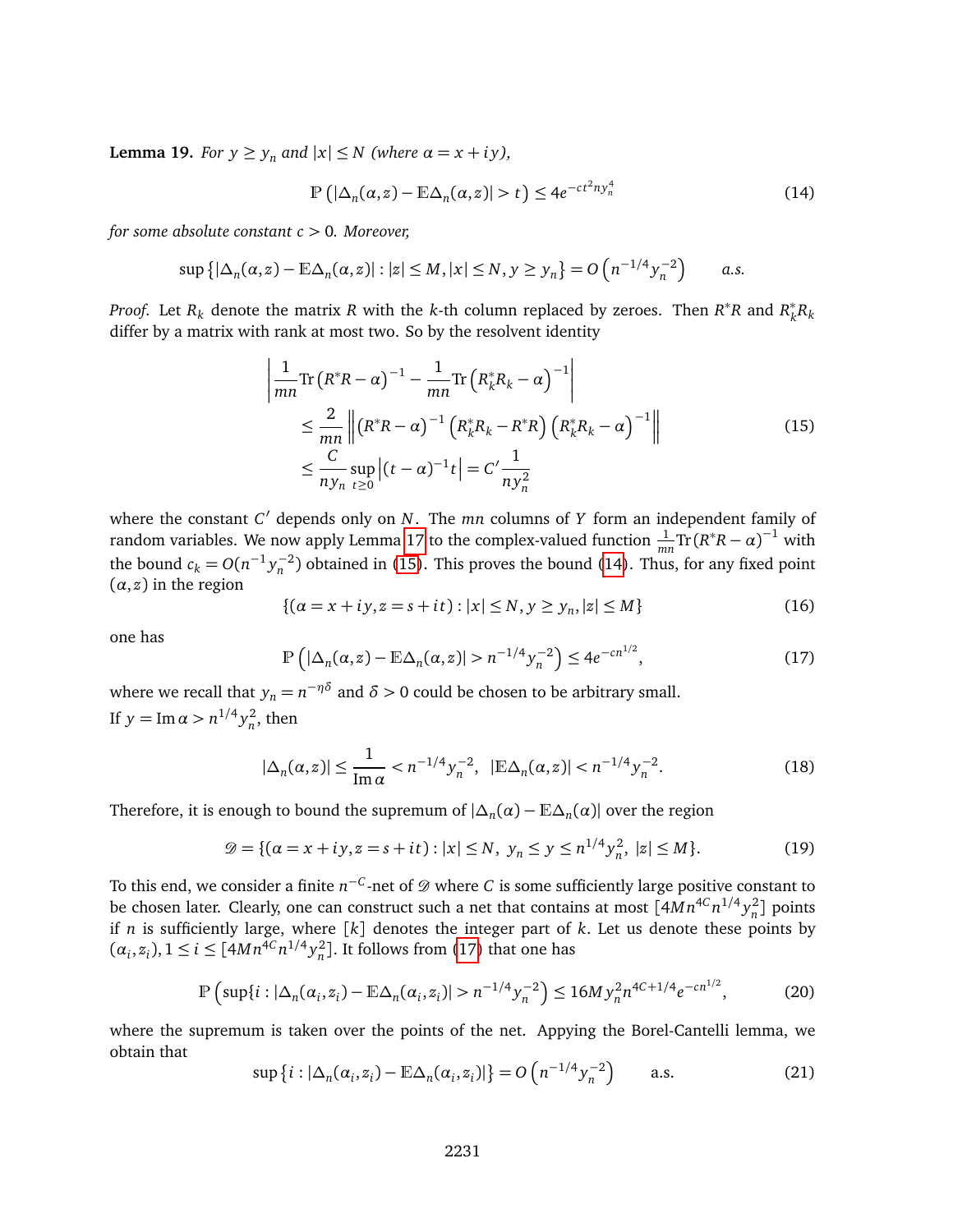<span id="page-12-4"></span>**Lemma 19.** *For*  $y \ge y_n$  *and*  $|x| \le N$  *(where*  $\alpha = x + iy$ *)*,

<span id="page-12-1"></span>
$$
\mathbb{P}\left(|\Delta_n(\alpha,z)-\mathbb{E}\Delta_n(\alpha,z)|>t\right)\leq 4e^{-ct^2ny_n^4}\tag{14}
$$

*for some absolute constant c >* 0*. Moreover,*

$$
\sup\left\{|\Delta_n(\alpha,z)-\mathbb{E}\Delta_n(\alpha,z)|:|z|\leq M,|x|\leq N,y\geq y_n\right\}=O\left(n^{-1/4}y_n^{-2}\right)\qquad a.s.
$$

*Proof.* Let  $R_k$  denote the matrix  $R$  with the  $k$ -th column replaced by zeroes. Then  $R^*R$  and  $R_k^*$ *k Rk* differ by a matrix with rank at most two. So by the resolvent identity

<span id="page-12-0"></span>
$$
\begin{aligned}\n&\left|\frac{1}{mn}\text{Tr}\left(R^*R - \alpha\right)^{-1} - \frac{1}{mn}\text{Tr}\left(R_k^*R_k - \alpha\right)^{-1}\right| \\
&\leq \frac{2}{mn} \left\| \left(R^*R - \alpha\right)^{-1} \left(R_k^*R_k - R^*R\right) \left(R_k^*R_k - \alpha\right)^{-1} \right\| \\
&\leq \frac{C}{ny_n} \sup_{t \geq 0} \left| (t - \alpha)^{-1} t \right| = C' \frac{1}{ny_n^2}\n\end{aligned} \tag{15}
$$

where the constant *C'* depends only on *N*. The *mn* columns of *Y* form an independent family of random variables. We now apply Lemma [17](#page-11-1) to the complex-valued function  $\frac{1}{mn} \text{Tr}(R^*R - \alpha)^{-1}$  with the bound  $c_k = O(n^{-1} y_n^{-2})$  obtained in [\(15\)](#page-12-0). This proves the bound [\(14\)](#page-12-1). Thus, for any fixed point  $(\alpha, z)$  in the region

$$
\{(a = x + iy, z = s + it) : |x| \le N, y \ge y_n, |z| \le M\}
$$
\n(16)

one has

<span id="page-12-2"></span>
$$
\mathbb{P}\left(|\Delta_n(\alpha, z) - \mathbb{E}\Delta_n(\alpha, z)| > n^{-1/4} y_n^{-2}\right) \le 4e^{-cn^{1/2}},\tag{17}
$$

where we recall that  $y_n = n^{-\eta\delta}$  and  $\delta > 0$  could be chosen to be arbitrary small. If  $y = \text{Im } \alpha > n^{1/4} y_n^2$ , then

$$
|\Delta_n(\alpha, z)| \le \frac{1}{\text{Im}\,\alpha} < n^{-1/4} y_n^{-2}, \quad |\mathbb{E}\Delta_n(\alpha, z)| < n^{-1/4} y_n^{-2}.\tag{18}
$$

Therefore, it is enough to bound the supremum of  $|\Delta_n(\alpha) - \mathbb{E}\Delta_n(\alpha)|$  over the region

$$
\mathcal{D} = \{ (\alpha = x + iy, z = s + it) : |x| \le N, \ y_n \le y \le n^{1/4} y_n^2, \ |z| \le M \}. \tag{19}
$$

To this end, we consider a finite  $n^{-C}$ -net of  ${\mathscr{D}}$  where  $C$  is some sufficiently large positive constant to be chosen later. Clearly, one can construct such a net that contains at most  $[4Mn^{4C}n^{1/4}y^2_n]$  points if *n* is sufficiently large, where  $[k]$  denotes the integer part of *k*. Let us denote these points by  $(\alpha_i, z_i)$ ,  $1 \le i \le [4Mn^{4C}n^{1/4}y_n^2]$ . It follows from [\(17\)](#page-12-2) that one has

$$
\mathbb{P}\left(\sup\{i:|\Delta_n(\alpha_i,z_i)-\mathbb{E}\Delta_n(\alpha_i,z_i)|>n^{-1/4}y_n^{-2}\right)\leq 16My_n^{2}n^{4C+1/4}e^{-cn^{1/2}},\tag{20}
$$

where the supremum is taken over the points of the net. Appying the Borel-Cantelli lemma, we obtain that

<span id="page-12-3"></span>
$$
\sup\left\{i:|\Delta_n(\alpha_i,z_i)-\mathbb{E}\Delta_n(\alpha_i,z_i)|\right\}=O\left(n^{-1/4}y_n^{-2}\right)\qquad\text{a.s.}\tag{21}
$$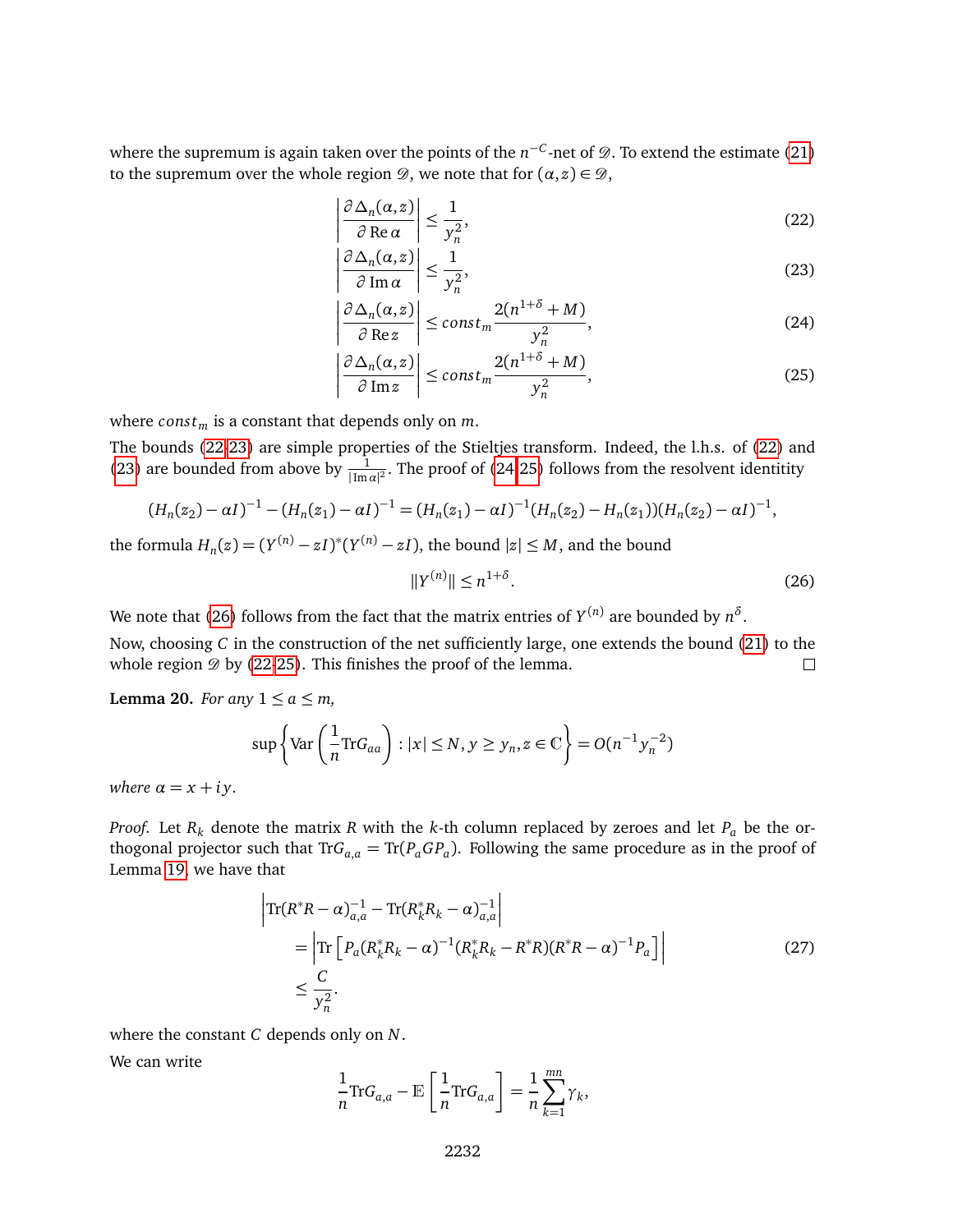where the supremum is again taken over the points of the  $n^{-C}$ -net of  $\mathscr{D}.$  To extend the estimate [\(21\)](#page-12-3) to the supremum over the whole region  $\mathcal{D}$ , we note that for  $(\alpha, z) \in \mathcal{D}$ ,

<span id="page-13-0"></span>
$$
\left| \frac{\partial \Delta_n(\alpha, z)}{\partial \operatorname{Re} \alpha} \right| \le \frac{1}{y_n^2},\tag{22}
$$

<span id="page-13-1"></span>
$$
\left| \frac{\partial \Delta_n(\alpha, z)}{\partial \operatorname{Im} \alpha} \right| \le \frac{1}{y_n^2},\tag{23}
$$

<span id="page-13-2"></span>
$$
\left| \frac{\partial \Delta_n(\alpha, z)}{\partial \operatorname{Re} z} \right| \le \operatorname{const}_m \frac{2(n^{1+\delta} + M)}{y_n^2},\tag{24}
$$

$$
\left|\frac{\partial \Delta_n(\alpha, z)}{\partial \operatorname{Im} z}\right| \le \operatorname{const}_m \frac{2(n^{1+\delta} + M)}{y_n^2},\tag{25}
$$

where *const*<sup>*m*</sup> is a constant that depends only on *m*.

The bounds [\(22-](#page-13-0)[23\)](#page-13-1) are simple properties of the Stieltjes transform. Indeed, the l.h.s. of [\(22\)](#page-13-0) and [\(23\)](#page-13-1) are bounded from above by  $\frac{1}{|\text{Im}\,\alpha|^2}$ . The proof of [\(24](#page-13-2)[-25\)](#page-13-3) follows from the resolvent identitity

$$
(H_n(z_2) - \alpha I)^{-1} - (H_n(z_1) - \alpha I)^{-1} = (H_n(z_1) - \alpha I)^{-1} (H_n(z_2) - H_n(z_1)) (H_n(z_2) - \alpha I)^{-1},
$$

the formula  $H_n(z) = (Y^{(n)} - zI)^*(Y^{(n)} - zI)$ , the bound  $|z| \le M$ , and the bound

<span id="page-13-4"></span><span id="page-13-3"></span>
$$
||Y^{(n)}|| \le n^{1+\delta}.
$$
 (26)

We note that [\(26\)](#page-13-4) follows from the fact that the matrix entries of  $Y^{(n)}$  are bounded by  $n^{\delta}.$ Now, choosing *C* in the construction of the net sufficiently large, one extends the bound [\(21\)](#page-12-3) to the whole region  $\mathcal D$  by [\(22-](#page-13-0)[25\)](#page-13-3). This finishes the proof of the lemma.  $\Box$ 

<span id="page-13-6"></span>**Lemma 20.** *For any*  $1 \le a \le m$ ,

$$
\sup \left\{ \text{Var}\left(\frac{1}{n} \text{Tr} G_{aa}\right) : |x| \le N, y \ge y_n, z \in \mathbb{C} \right\} = O(n^{-1} y_n^{-2})
$$

*where*  $\alpha = x + iy$ .

*Proof.* Let  $R_k$  denote the matrix  $R$  with the  $k$ -th column replaced by zeroes and let  $P_a$  be the orthogonal projector such that Tr $G_{a,a} = \text{Tr}(P_a G P_a)$ . Following the same procedure as in the proof of Lemma [19,](#page-12-4) we have that

$$
\begin{aligned} \left| \text{Tr} (R^* R - \alpha)_{a,a}^{-1} - \text{Tr} (R_k^* R_k - \alpha)_{a,a}^{-1} \right| \\ &= \left| \text{Tr} \left[ P_a (R_k^* R_k - \alpha)^{-1} (R_k^* R_k - R^* R) (R^* R - \alpha)^{-1} P_a \right] \right| \\ &\leq \frac{C}{\mathcal{Y}_n^2}. \end{aligned} \tag{27}
$$

where the constant *C* depends only on *N*.

We can write

<span id="page-13-5"></span>
$$
\frac{1}{n}\text{Tr}G_{a,a}-\mathbb{E}\left[\frac{1}{n}\text{Tr}G_{a,a}\right]=\frac{1}{n}\sum_{k=1}^{mn}\gamma_k,
$$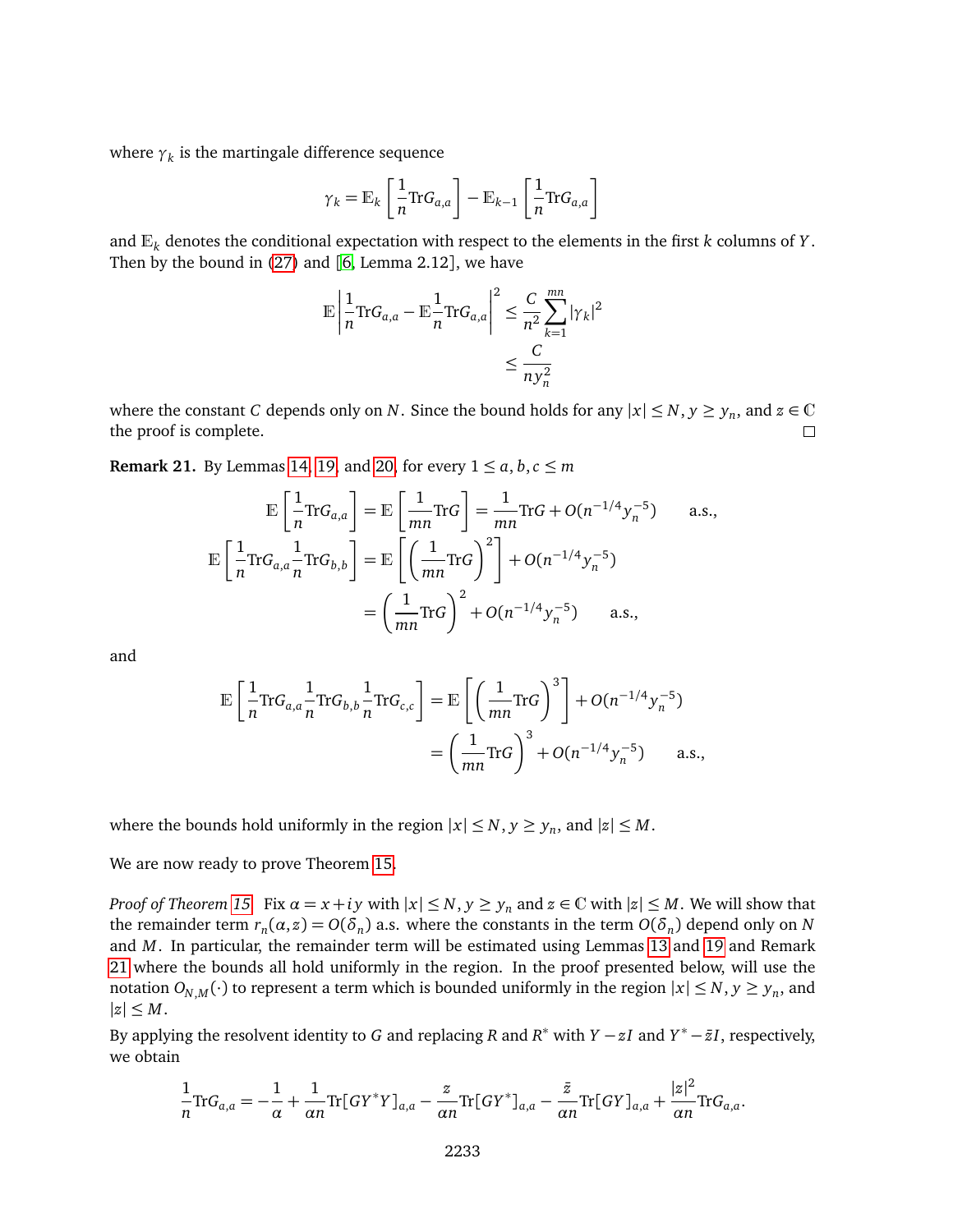where  $\gamma_k$  is the martingale difference sequence

$$
\gamma_k = \mathbb{E}_k \left[ \frac{1}{n} \text{Tr} G_{a,a} \right] - \mathbb{E}_{k-1} \left[ \frac{1}{n} \text{Tr} G_{a,a} \right]
$$

and E*<sup>k</sup>* denotes the conditional expectation with respect to the elements in the first *<sup>k</sup>* columns of *<sup>Y</sup>* . Then by the bound in [\(27\)](#page-13-5) and [[6,](#page-25-0) Lemma 2.12], we have

$$
\mathbb{E}\left|\frac{1}{n}\text{Tr}G_{a,a} - \mathbb{E}\frac{1}{n}\text{Tr}G_{a,a}\right|^2 \leq \frac{C}{n^2}\sum_{k=1}^{mn}|\gamma_k|^2
$$

$$
\leq \frac{C}{ny_n^2}
$$

where the constant *C* depends only on *N*. Since the bound holds for any  $|x| \le N, y \ge y_n$ , and  $z \in \mathbb{C}$ the proof is complete.  $\Box$ 

<span id="page-14-0"></span>**Remark 21.** By Lemmas [14,](#page-9-6) [19,](#page-12-4) and [20,](#page-13-6) for every  $1 \le a, b, c \le m$ 

$$
\mathbb{E}\left[\frac{1}{n}\text{Tr}G_{a,a}\right] = \mathbb{E}\left[\frac{1}{mn}\text{Tr}G\right] = \frac{1}{mn}\text{Tr}G + O(n^{-1/4}y_n^{-5}) \quad \text{a.s.},
$$
\n
$$
\mathbb{E}\left[\frac{1}{n}\text{Tr}G_{a,a}\frac{1}{n}\text{Tr}G_{b,b}\right] = \mathbb{E}\left[\left(\frac{1}{mn}\text{Tr}G\right)^2\right] + O(n^{-1/4}y_n^{-5})
$$
\n
$$
= \left(\frac{1}{mn}\text{Tr}G\right)^2 + O(n^{-1/4}y_n^{-5}) \quad \text{a.s.,}
$$

and

$$
\mathbb{E}\left[\frac{1}{n}\text{Tr}G_{a,a}\frac{1}{n}\text{Tr}G_{b,b}\frac{1}{n}\text{Tr}G_{c,c}\right] = \mathbb{E}\left[\left(\frac{1}{mn}\text{Tr}G\right)^3\right] + O(n^{-1/4}y_n^{-5})
$$

$$
= \left(\frac{1}{mn}\text{Tr}G\right)^3 + O(n^{-1/4}y_n^{-5}) \quad \text{a.s.,}
$$

where the bounds hold uniformly in the region  $|x| \le N$ ,  $y \ge y_n$ , and  $|z| \le M$ .

We are now ready to prove Theorem [15.](#page-11-0)

*Proof of Theorem [15.](#page-11-0)* Fix  $\alpha = x + iy$  with  $|x| \leq N$ ,  $y \geq y_n$  and  $z \in \mathbb{C}$  with  $|z| \leq M$ . We will show that the remainder term  $r_n(\alpha, z) = O(\delta_n)$  a.s. where the constants in the term  $O(\delta_n)$  depend only on *N* and *M*. In particular, the remainder term will be estimated using Lemmas [13](#page-9-7) and [19](#page-12-4) and Remark [21](#page-14-0) where the bounds all hold uniformly in the region. In the proof presented below, will use the notation  $O_{N,M}(\cdot)$  to represent a term which is bounded uniformly in the region  $|x| \leq N, y \geq y_n$ , and  $|z| \leq M$ .

By applying the resolvent identity to *G* and replacing *R* and *R*<sup>\*</sup> with *Y* − *zI* and *Y*<sup>\*</sup> − *zI*, respectively, we obtain

$$
\frac{1}{n}\text{Tr}G_{a,a}=-\frac{1}{\alpha}+\frac{1}{\alpha n}\text{Tr}[GY^*Y]_{a,a}-\frac{z}{\alpha n}\text{Tr}[GY^*]_{a,a}-\frac{\bar{z}}{\alpha n}\text{Tr}[GY]_{a,a}+\frac{|z|^2}{\alpha n}\text{Tr}G_{a,a}.
$$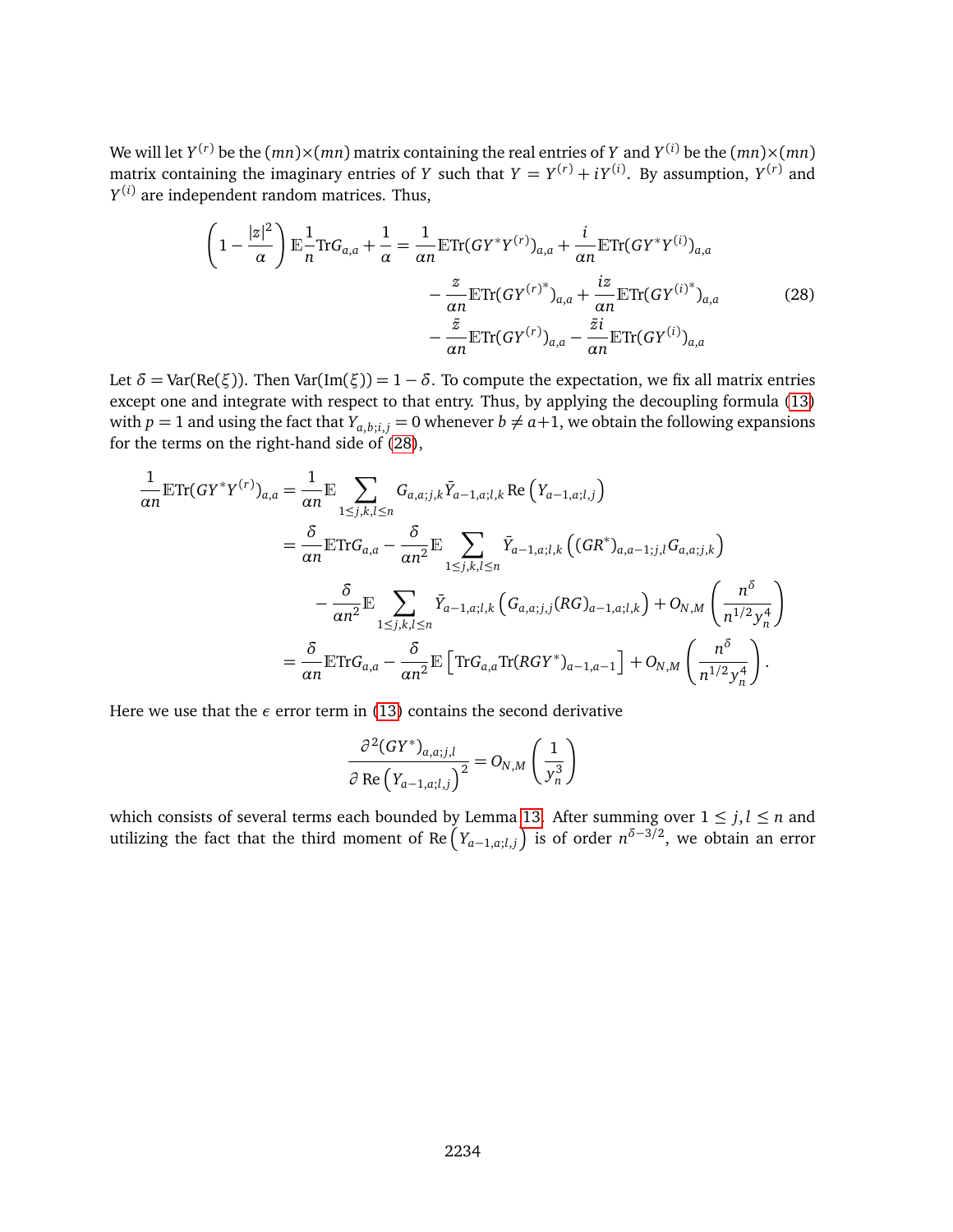We will let  $Y^{(r)}$  be the  $(mn)\times (mn)$  matrix containing the real entries of  $Y$  and  $Y^{(i)}$  be the  $(mn)\times (mn)$ matrix containing the imaginary entries of *Y* such that  $Y = Y^{(r)} + iY^{(i)}$ . By assumption,  $Y^{(r)}$  and *Y* (*i*) are independent random matrices. Thus,

<span id="page-15-0"></span>
$$
\left(1 - \frac{|z|^2}{\alpha}\right) \mathbb{E} \frac{1}{n} \text{Tr} G_{a,a} + \frac{1}{\alpha} = \frac{1}{\alpha n} \mathbb{E} \text{Tr} (G Y^* Y^{(r)})_{a,a} + \frac{i}{\alpha n} \mathbb{E} \text{Tr} (G Y^* Y^{(i)})_{a,a}
$$

$$
- \frac{z}{\alpha n} \mathbb{E} \text{Tr} (G Y^{(r)*})_{a,a} + \frac{iz}{\alpha n} \mathbb{E} \text{Tr} (G Y^{(i)*})_{a,a}
$$
(28)
$$
- \frac{\bar{z}}{\alpha n} \mathbb{E} \text{Tr} (G Y^{(r)})_{a,a} - \frac{\bar{z}i}{\alpha n} \mathbb{E} \text{Tr} (G Y^{(i)})_{a,a}
$$

Let  $\delta$  = Var(Re( $\xi$ )). Then Var(Im( $\xi$ )) = 1 –  $\delta$ . To compute the expectation, we fix all matrix entries except one and integrate with respect to that entry. Thus, by applying the decoupling formula [\(13\)](#page-10-1) with  $p = 1$  and using the fact that  $Y_{a,b;i,j} = 0$  whenever  $b \neq a+1$ , we obtain the following expansions for the terms on the right-hand side of [\(28\)](#page-15-0),

$$
\frac{1}{\alpha n} \mathbb{E} \text{Tr}(GY^*Y^{(r)})_{a,a} = \frac{1}{\alpha n} \mathbb{E} \sum_{1 \le j,k,l \le n} G_{a,a;j,k} \bar{Y}_{a-1,a;l,k} \text{ Re}\left(Y_{a-1,a;l,j}\right)
$$
\n
$$
= \frac{\delta}{\alpha n} \mathbb{E} \text{Tr} G_{a,a} - \frac{\delta}{\alpha n^2} \mathbb{E} \sum_{1 \le j,k,l \le n} \bar{Y}_{a-1,a;l,k} \left( (GR^*)_{a,a-1;j,l} G_{a,a;j,k} \right)
$$
\n
$$
- \frac{\delta}{\alpha n^2} \mathbb{E} \sum_{1 \le j,k,l \le n} \bar{Y}_{a-1,a;l,k} \left( G_{a,a;j,j}(RG)_{a-1,a;l,k} \right) + O_{N,M} \left( \frac{n^{\delta}}{n^{1/2} y_n^4} \right)
$$
\n
$$
= \frac{\delta}{\alpha n} \mathbb{E} \text{Tr} G_{a,a} - \frac{\delta}{\alpha n^2} \mathbb{E} \left[ \text{Tr} G_{a,a} \text{Tr}(RGY^*)_{a-1,a-1} \right] + O_{N,M} \left( \frac{n^{\delta}}{n^{1/2} y_n^4} \right).
$$

Here we use that the  $\epsilon$  error term in [\(13\)](#page-10-1) contains the second derivative

$$
\frac{\partial^2 (GY^*)_{a,a;j,l}}{\partial \operatorname{Re} (Y_{a-1,a;l,j})^2} = O_{N,M} \left( \frac{1}{y_n^3} \right)
$$

which consists of several terms each bounded by Lemma [13.](#page-9-7) After summing over  $1 \leq j, l \leq n$  and utilizing the fact that the third moment of Re $\left(Y_{a-1, a;l,j}\right)$  is of order  $n^{\delta-3/2}$ , we obtain an error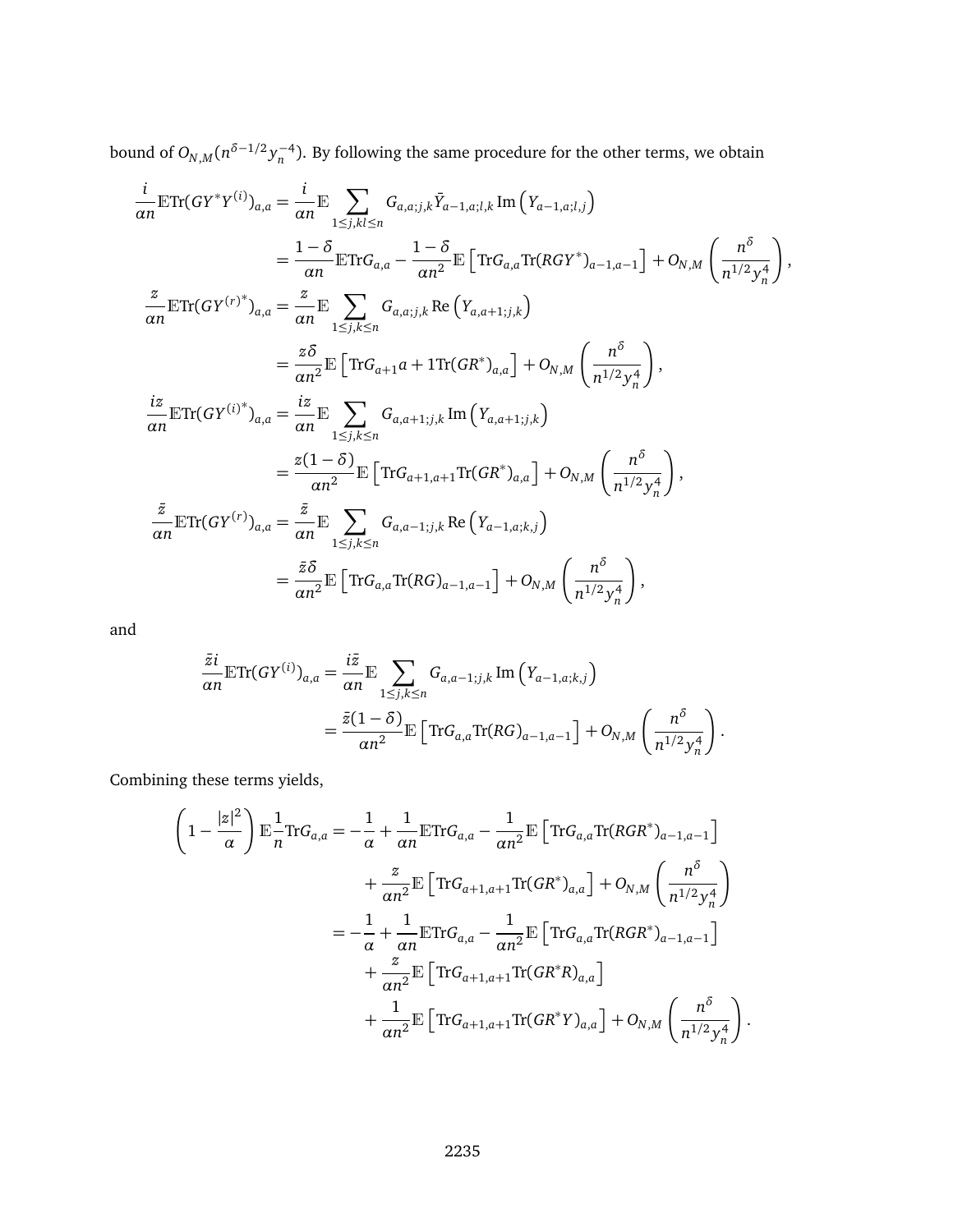bound of  $O_{N,M}(n^{\delta-1/2} y_n^{-4})$ . By following the same procedure for the other terms, we obtain

$$
\frac{i}{\alpha n} \mathbb{E} \text{Tr}(GY^*Y^{(i)})_{a,a} = \frac{i}{\alpha n} \mathbb{E} \sum_{1 \leq j,kl \leq n} G_{a,a;j,k} \bar{Y}_{a-1,a;l,k} \text{Im}(Y_{a-1,a;l,j})
$$
\n
$$
= \frac{1-\delta}{\alpha n} \mathbb{E} \text{Tr} G_{a,a} - \frac{1-\delta}{\alpha n^2} \mathbb{E} \left[ \text{Tr} G_{a,a} \text{Tr}(RGY^*)_{a-1,a-1} \right] + O_{N,M} \left( \frac{n^{\delta}}{n^{1/2} y_n^4} \right),
$$
\n
$$
\frac{z}{\alpha n} \mathbb{E} \text{Tr}(GY^{(r)*})_{a,a} = \frac{z}{\alpha n} \mathbb{E} \sum_{1 \leq j,k \leq n} G_{a,a;j,k} \text{Re}(Y_{a,a+1;j,k})
$$
\n
$$
= \frac{z\delta}{\alpha n^2} \mathbb{E} \left[ \text{Tr} G_{a+1}a + 1 \text{Tr}(GR^*)_{a,a} \right] + O_{N,M} \left( \frac{n^{\delta}}{n^{1/2} y_n^4} \right),
$$
\n
$$
\frac{iz}{\alpha n} \mathbb{E} \text{Tr}(GY^{(i)*})_{a,a} = \frac{iz}{\alpha n} \mathbb{E} \sum_{1 \leq j,k \leq n} G_{a,a+1;j,k} \text{Im}(Y_{a,a+1;j,k})
$$
\n
$$
= \frac{z(1-\delta)}{\alpha n^2} \mathbb{E} \left[ \text{Tr} G_{a+1,a+1} \text{Tr}(GR^*)_{a,a} \right] + O_{N,M} \left( \frac{n^{\delta}}{n^{1/2} y_n^4} \right),
$$
\n
$$
\frac{\bar{z}}{\alpha n} \mathbb{E} \text{Tr}(GY^{(r)})_{a,a} = \frac{\bar{z}}{\alpha n} \mathbb{E} \sum_{1 \leq j,k \leq n} G_{a,a-1;j,k} \text{Re}(Y_{a-1,a;k,j})
$$
\n
$$
= \frac{\bar{z}\delta}{\alpha n^2} \mathbb{E} \left[ \text{Tr} G_{a,a} \text{Tr}(RG)_{a-1,a-1} \right] + O_{N,M} \left( \frac
$$

and

$$
\frac{\bar{z}i}{\alpha n} \mathbb{E} \text{Tr}(GY^{(i)})_{a,a} = \frac{i\bar{z}}{\alpha n} \mathbb{E} \sum_{1 \leq j,k \leq n} G_{a,a-1;j,k} \text{Im}\left(Y_{a-1,a;k,j}\right)
$$

$$
= \frac{\bar{z}(1-\delta)}{\alpha n^2} \mathbb{E} \left[ \text{Tr} G_{a,a} \text{Tr}(RG)_{a-1,a-1} \right] + O_{N,M} \left( \frac{n^{\delta}}{n^{1/2} y_n^4} \right).
$$

Combining these terms yields,

$$
\left(1 - \frac{|z|^2}{\alpha}\right) \mathbb{E} \frac{1}{n} \text{Tr} G_{a,a} = -\frac{1}{\alpha} + \frac{1}{\alpha n} \mathbb{E} \text{Tr} G_{a,a} - \frac{1}{\alpha n^2} \mathbb{E} \left[ \text{Tr} G_{a,a} \text{Tr}(RGR^*)_{a-1,a-1} \right] \n+ \frac{z}{\alpha n^2} \mathbb{E} \left[ \text{Tr} G_{a+1,a+1} \text{Tr}(GR^*)_{a,a} \right] + O_{N,M} \left( \frac{n^{\delta}}{n^{1/2} y_n^4} \right) \n= -\frac{1}{\alpha} + \frac{1}{\alpha n} \mathbb{E} \text{Tr} G_{a,a} - \frac{1}{\alpha n^2} \mathbb{E} \left[ \text{Tr} G_{a,a} \text{Tr}(RGR^*)_{a-1,a-1} \right] \n+ \frac{z}{\alpha n^2} \mathbb{E} \left[ \text{Tr} G_{a+1,a+1} \text{Tr}(GR^*R)_{a,a} \right] \n+ \frac{1}{\alpha n^2} \mathbb{E} \left[ \text{Tr} G_{a+1,a+1} \text{Tr}(GR^*Y)_{a,a} \right] + O_{N,M} \left( \frac{n^{\delta}}{n^{1/2} y_n^4} \right).
$$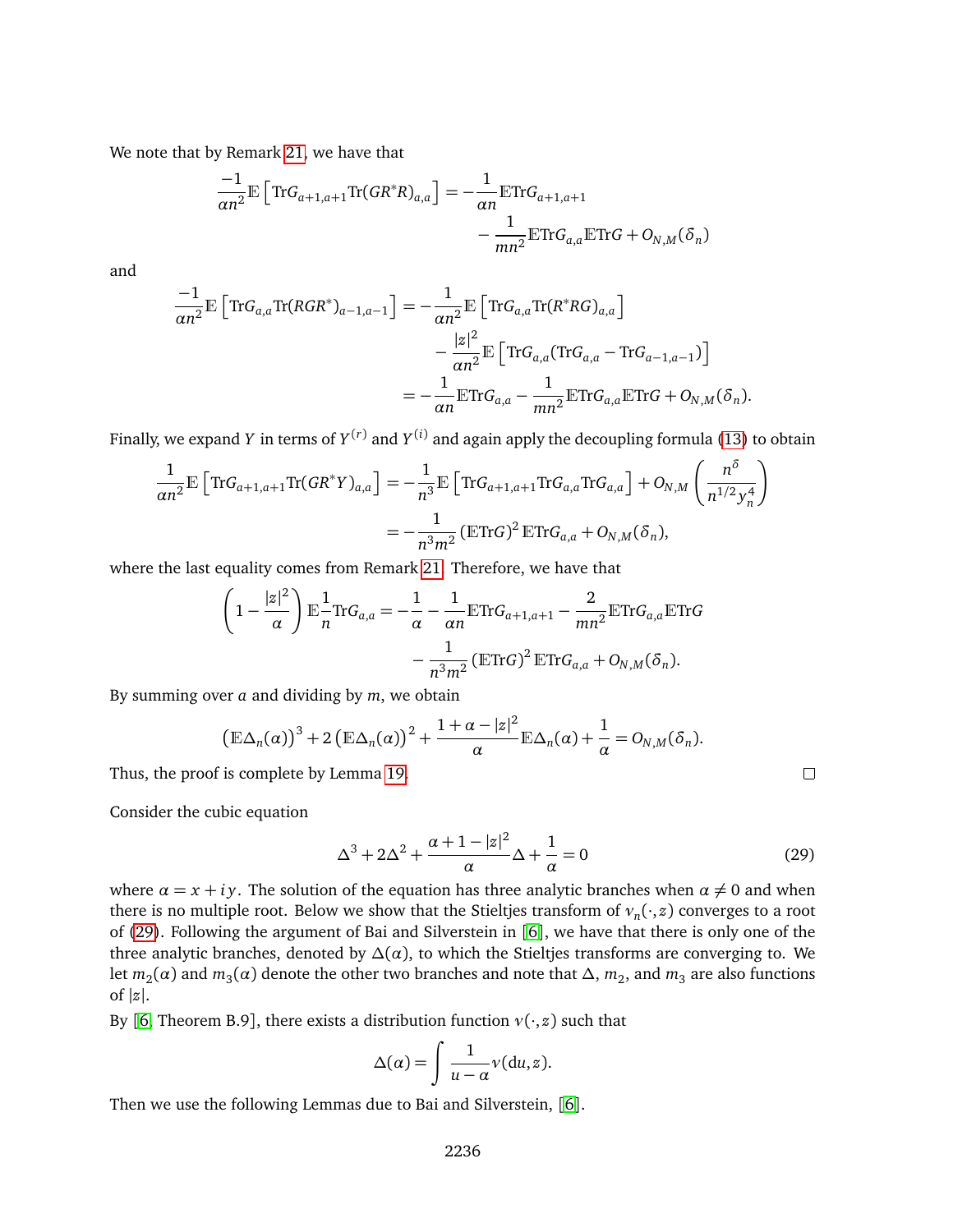We note that by Remark [21,](#page-14-0) we have that

$$
\frac{-1}{\alpha n^2} \mathbb{E} \left[ \text{Tr} G_{a+1,a+1} \text{Tr} (GR^*R)_{a,a} \right] = -\frac{1}{\alpha n} \mathbb{E} \text{Tr} G_{a+1,a+1} - \frac{1}{mn^2} \mathbb{E} \text{Tr} G_{a,a} \mathbb{E} \text{Tr} G + O_{N,M} (\delta_n)
$$

and

$$
\frac{-1}{\alpha n^2} \mathbb{E} \left[ \text{Tr} G_{a,a} \text{Tr} (RGR^*)_{a-1,a-1} \right] = -\frac{1}{\alpha n^2} \mathbb{E} \left[ \text{Tr} G_{a,a} \text{Tr} (R^*RG)_{a,a} \right] \n- \frac{|z|^2}{\alpha n^2} \mathbb{E} \left[ \text{Tr} G_{a,a} (\text{Tr} G_{a,a} - \text{Tr} G_{a-1,a-1}) \right] \n= -\frac{1}{\alpha n} \mathbb{E} \text{Tr} G_{a,a} - \frac{1}{mn^2} \mathbb{E} \text{Tr} G_{a,a} \mathbb{E} \text{Tr} G + O_{N,M} (\delta_n).
$$

Finally, we expand  $Y$  in terms of  $Y^{(r)}$  and  $Y^{(i)}$  and again apply the decoupling formula [\(13\)](#page-10-1) to obtain

$$
\frac{1}{\alpha n^2} \mathbb{E} \left[ \text{Tr} G_{a+1,a+1} \text{Tr} (GR^*Y)_{a,a} \right] = -\frac{1}{n^3} \mathbb{E} \left[ \text{Tr} G_{a+1,a+1} \text{Tr} G_{a,a} \text{Tr} G_{a,a} \right] + O_{N,M} \left( \frac{n^5}{n^{1/2} y_n^4} \right)
$$

$$
= -\frac{1}{n^3 m^2} \left( \mathbb{E} \text{Tr} G \right)^2 \mathbb{E} \text{Tr} G_{a,a} + O_{N,M} (\delta_n),
$$

where the last equality comes from Remark [21.](#page-14-0) Therefore, we have that

$$
\left(1 - \frac{|z|^2}{\alpha}\right) \mathbb{E} \frac{1}{n} \text{Tr} G_{a,a} = -\frac{1}{\alpha} - \frac{1}{\alpha n} \mathbb{E} \text{Tr} G_{a+1,a+1} - \frac{2}{mn^2} \mathbb{E} \text{Tr} G_{a,a} \mathbb{E} \text{Tr} G_{a,a}
$$

$$
- \frac{1}{n^3 m^2} \left( \mathbb{E} \text{Tr} G \right)^2 \mathbb{E} \text{Tr} G_{a,a} + O_{N,M}(\delta_n).
$$

By summing over *a* and dividing by *m*, we obtain

$$
\left(\mathbb{E}\Delta_n(\alpha)\right)^3+2\left(\mathbb{E}\Delta_n(\alpha)\right)^2+\frac{1+\alpha-|z|^2}{\alpha}\mathbb{E}\Delta_n(\alpha)+\frac{1}{\alpha}=O_{N,M}(\delta_n).
$$

Thus, the proof is complete by Lemma [19.](#page-12-4)

Consider the cubic equation

<span id="page-17-0"></span>
$$
\Delta^3 + 2\Delta^2 + \frac{\alpha + 1 - |z|^2}{\alpha} \Delta + \frac{1}{\alpha} = 0
$$
\n(29)

 $\Box$ 

where  $\alpha = x + iy$ . The solution of the equation has three analytic branches when  $\alpha \neq 0$  and when there is no multiple root. Below we show that the Stieltjes transform of *ν<sup>n</sup>* (·, *z*) converges to a root of [\(29\)](#page-17-0). Following the argument of Bai and Silverstein in [[6](#page-25-0)], we have that there is only one of the three analytic branches, denoted by  $\Delta(\alpha)$ , to which the Stieltjes transforms are converging to. We let  $m_2(\alpha)$  and  $m_3(\alpha)$  denote the other two branches and note that  $\Delta,$   $m_2,$  and  $m_3$  are also functions of  $|z|$ .

By [[6,](#page-25-0) Theorem B.9], there exists a distribution function  $v(\cdot, z)$  such that

$$
\Delta(\alpha) = \int \frac{1}{u - \alpha} v(du, z).
$$

Then we use the following Lemmas due to Bai and Silverstein, [[6](#page-25-0)].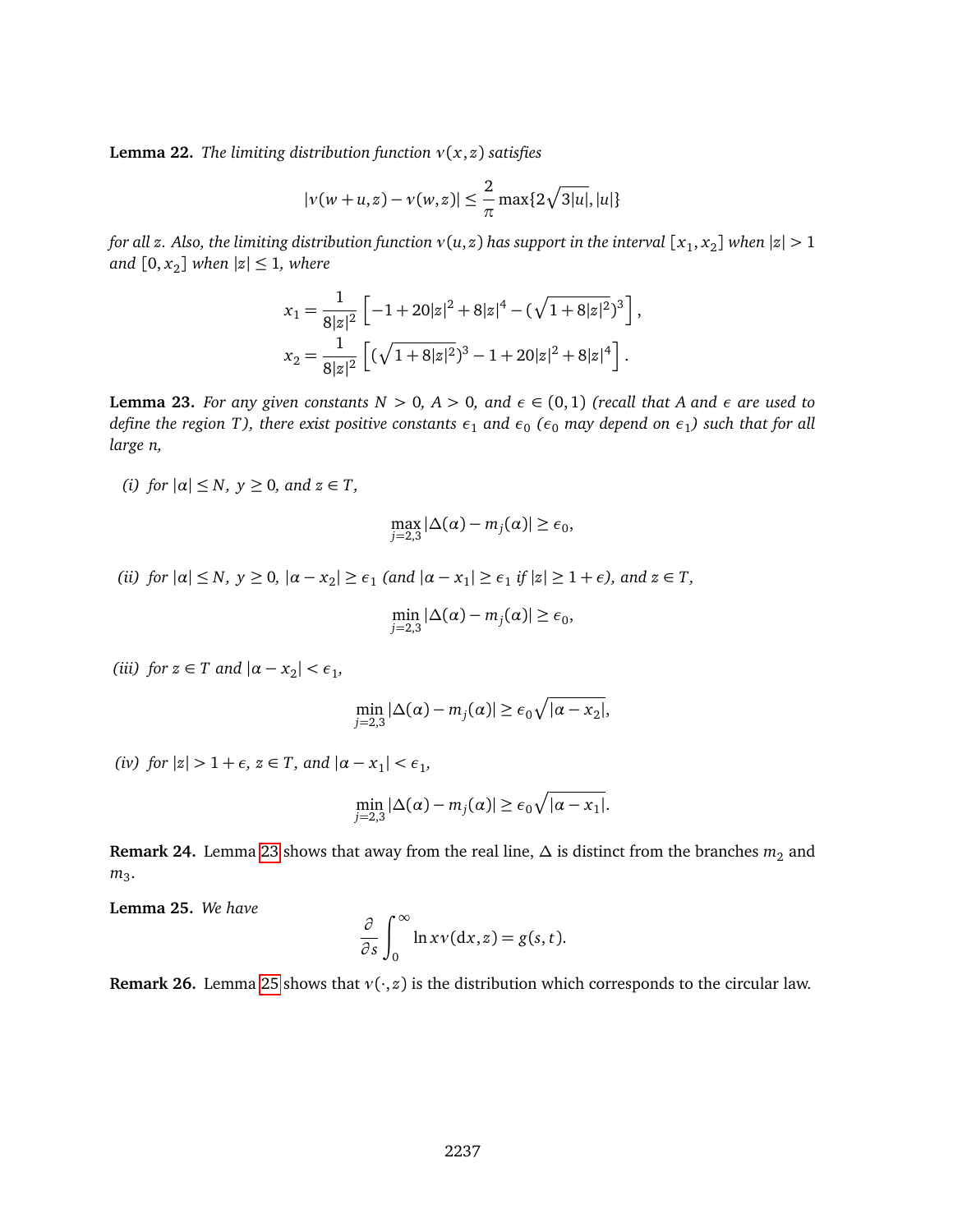<span id="page-18-2"></span>**Lemma 22.** *The limiting distribution function*  $v(x, z)$  *satisfies* 

$$
|v(w+u,z)-v(w,z)| \leq \frac{2}{\pi} \max\{2\sqrt{3|u|}, |u|\}
$$

*for all z. Also, the limiting distribution function*  $v(u,z)$  *has support in the interval*  $[x_1, x_2]$  *when*  $|z| > 1$  $and [0, x<sub>2</sub>] when |z| \leq 1, where$ 

$$
x_1 = \frac{1}{8|z|^2} \left[ -1 + 20|z|^2 + 8|z|^4 - (\sqrt{1 + 8|z|^2})^3 \right],
$$
  
\n
$$
x_2 = \frac{1}{8|z|^2} \left[ (\sqrt{1 + 8|z|^2})^3 - 1 + 20|z|^2 + 8|z|^4 \right].
$$

<span id="page-18-0"></span>**Lemma 23.** *For any given constants*  $N > 0$ ,  $A > 0$ , and  $\epsilon \in (0,1)$  (recall that A and  $\epsilon$  are used to define the region T), there exist positive constants  $\epsilon_1$  and  $\epsilon_0$  ( $\epsilon_0$  may depend on  $\epsilon_1$ ) such that for all *large n,*

*(i)* for  $|\alpha| \leq N$ ,  $y \geq 0$ , and  $z \in T$ ,

$$
\max_{j=2,3} |\Delta(\alpha)-m_j(\alpha)| \geq \epsilon_0,
$$

*(ii)* for  $|\alpha| \le N$ ,  $y \ge 0$ ,  $|\alpha - x_2| \ge \epsilon_1$  (and  $|\alpha - x_1| \ge \epsilon_1$  if  $|z| \ge 1 + \epsilon$ ), and  $z \in T$ ,

$$
\min_{j=2,3} |\Delta(\alpha) - m_j(\alpha)| \ge \epsilon_0,
$$

(*iii*) for  $z \in T$  and  $|\alpha - x_2| < \epsilon_1$ ,

$$
\min_{j=2,3} |\Delta(\alpha) - m_j(\alpha)| \ge \epsilon_0 \sqrt{|\alpha - x_2|},
$$

*(iv) for*  $|z| > 1 + \epsilon$ ,  $z \in T$ , *and*  $|a - x_1| < \epsilon_1$ ,

$$
\min_{j=2,3} |\Delta(\alpha) - m_j(\alpha)| \ge \epsilon_0 \sqrt{|\alpha - x_1|}.
$$

**Remark 24.** Lemma [23](#page-18-0) shows that away from the real line,  $\Delta$  is distinct from the branches  $m_2$  and m<sub>3</sub>.

<span id="page-18-1"></span>**Lemma 25.** *We have*

$$
\frac{\partial}{\partial s}\int_0^\infty \ln x v(\mathrm{d}x,z) = g(s,t).
$$

**Remark 26.** Lemma [25](#page-18-1) shows that  $v(\cdot, z)$  is the distribution which corresponds to the circular law.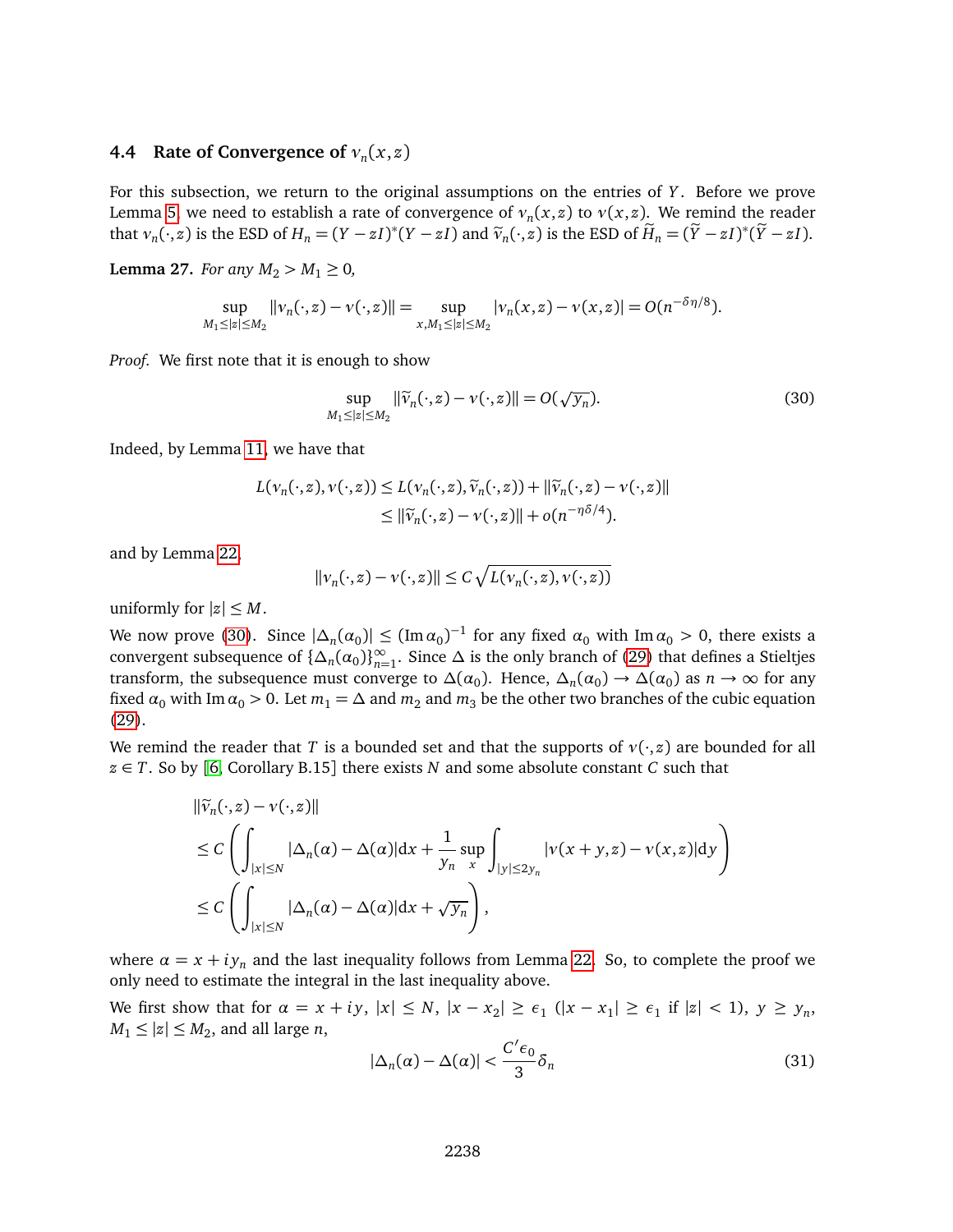# **4.4 Rate of Convergence of** *ν<sup>n</sup>* (*x*, *z*)

For this subsection, we return to the original assumptions on the entries of *Y* . Before we prove Lemma [5,](#page-2-2) we need to establish a rate of convergence of  $v_n(x,z)$  to  $v(x,z)$ . We remind the reader that  $v_n(\cdot, z)$  is the ESD of  $H_n = (Y - zI)^*(Y - zI)$  and  $\tilde{v}_n(\cdot, z)$  is the ESD of  $\tilde{H}_n = (\tilde{Y} - zI)^*(\tilde{Y} - zI)$ .

<span id="page-19-2"></span>**Lemma 27.** *For any*  $M_2 > M_1 \ge 0$ *,* 

$$
\sup_{M_1 \leq |z| \leq M_2} ||v_n(\cdot, z) - v(\cdot, z)|| = \sup_{x, M_1 \leq |z| \leq M_2} |v_n(x, z) - v(x, z)| = O(n^{-\delta \eta/8}).
$$

*Proof.* We first note that it is enough to show

<span id="page-19-0"></span>
$$
\sup_{M_1 \leq |z| \leq M_2} \|\widetilde{v}_n(\cdot, z) - v(\cdot, z)\| = O(\sqrt{y_n}).\tag{30}
$$

Indeed, by Lemma [11,](#page-7-0) we have that

$$
L(\nu_n(\cdot, z), \nu(\cdot, z)) \le L(\nu_n(\cdot, z), \widetilde{\nu}_n(\cdot, z)) + ||\widetilde{\nu}_n(\cdot, z) - \nu(\cdot, z)||
$$
  
 
$$
\le ||\widetilde{\nu}_n(\cdot, z) - \nu(\cdot, z)|| + o(n^{-\eta \delta/4}).
$$

and by Lemma [22,](#page-18-2)

$$
||v_n(\cdot,z) - v(\cdot,z)|| \le C \sqrt{L(v_n(\cdot,z),v(\cdot,z))}
$$

uniformly for  $|z| \leq M$ .

We now prove [\(30\)](#page-19-0). Since  $|\Delta_n(\alpha_0)| \leq (\text{Im } \alpha_0)^{-1}$  for any fixed  $\alpha_0$  with  $\text{Im } \alpha_0 > 0$ , there exists a convergent subsequence of  $\{\Delta_n(\alpha_0)\}_{n=1}^{\infty}$ *n*=1 . Since ∆ is the only branch of [\(29\)](#page-17-0) that defines a Stieltjes transform, the subsequence must converge to  $\Delta(\alpha_0)$ . Hence,  $\Delta_n(\alpha_0) \to \Delta(\alpha_0)$  as  $n \to \infty$  for any fixed  $\alpha_0$  with Im  $\alpha_0 > 0$ . Let  $m_1 = \Delta$  and  $m_2$  and  $m_3$  be the other two branches of the cubic equation [\(29\)](#page-17-0).

We remind the reader that *T* is a bounded set and that the supports of  $v(\cdot, z)$  are bounded for all  $z \in T$ . So by [[6,](#page-25-0) Corollary B.15] there exists *N* and some absolute constant *C* such that

$$
\begin{aligned} &\|\widetilde{v}_n(\cdot,z) - v(\cdot,z)\| \\ &\leq C \left( \int_{|x| \leq N} |\Delta_n(\alpha) - \Delta(\alpha)| dx + \frac{1}{y_n} \sup_x \int_{|y| \leq 2y_n} |v(x+y,z) - v(x,z)| dy \right) \\ &\leq C \left( \int_{|x| \leq N} |\Delta_n(\alpha) - \Delta(\alpha)| dx + \sqrt{y_n} \right), \end{aligned}
$$

where  $\alpha = x + iy_n$  and the last inequality follows from Lemma [22.](#page-18-2) So, to complete the proof we only need to estimate the integral in the last inequality above.

We first show that for  $\alpha = x + iy$ ,  $|x| \le N$ ,  $|x - x_2| \ge \epsilon_1$  ( $|x - x_1| \ge \epsilon_1$  if  $|z| < 1$ ),  $y \ge y_n$ ,  $M_1 \leq |z| \leq M_2$ , and all large *n*,

<span id="page-19-1"></span>
$$
|\Delta_n(\alpha) - \Delta(\alpha)| < \frac{C' \epsilon_0}{3} \delta_n \tag{31}
$$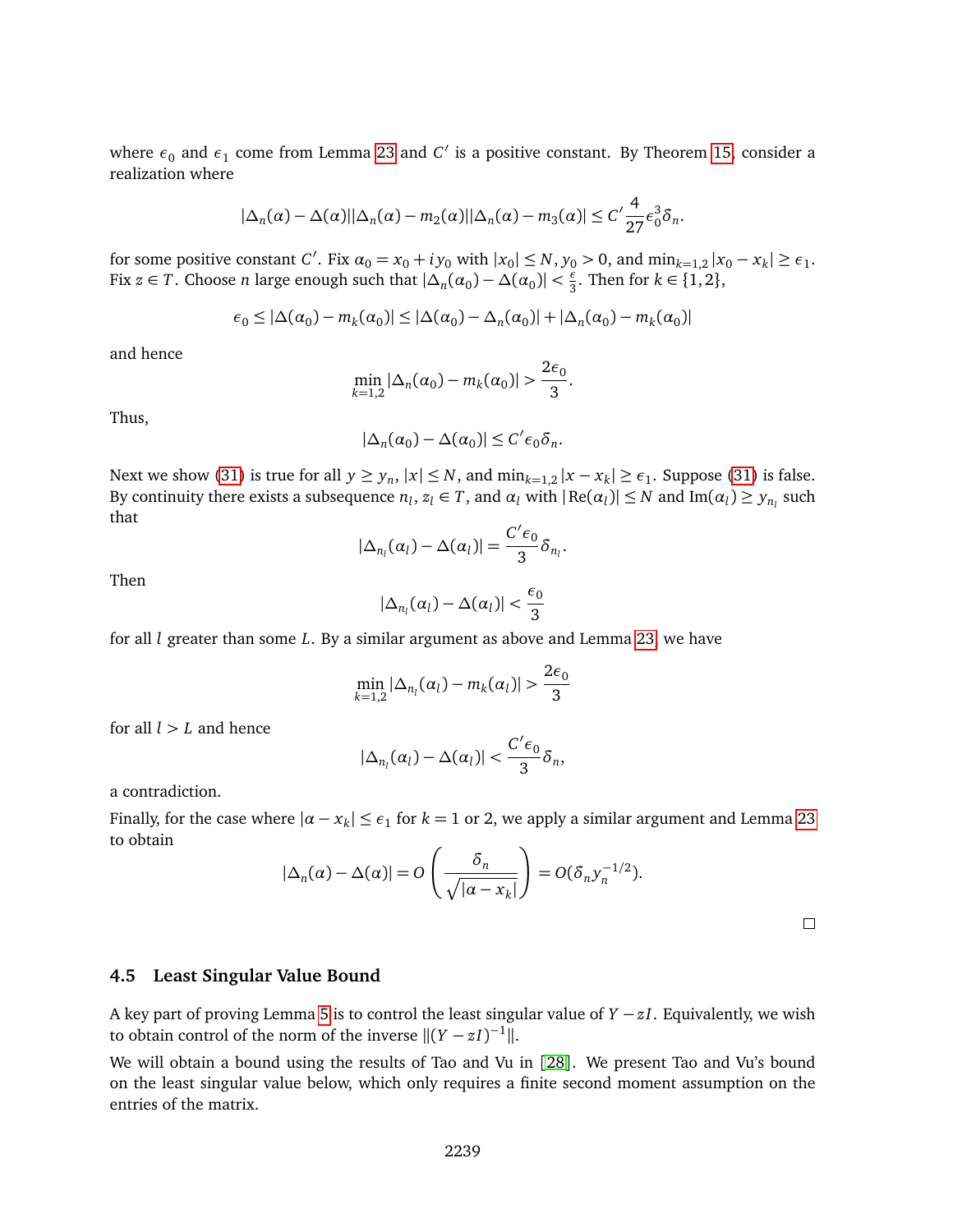where  $\epsilon_0$  and  $\epsilon_1$  come from Lemma [23](#page-18-0) and  $C'$  is a positive constant. By Theorem [15,](#page-11-0) consider a realization where

$$
|\Delta_n(\alpha)-\Delta(\alpha)||\Delta_n(\alpha)-m_2(\alpha)||\Delta_n(\alpha)-m_3(\alpha)|\leq C'\frac{4}{27}\epsilon_0^3\delta_n.
$$

for some positive constant *C'*. Fix  $\alpha_0 = x_0 + iy_0$  with  $|x_0| \le N$ ,  $y_0 > 0$ , and  $\min_{k=1,2} |x_0 - x_k| \ge \epsilon_1$ . Fix  $z \in T$ . Choose *n* large enough such that  $|\Delta_n(\alpha_0) - \Delta(\alpha_0)| < \frac{\epsilon}{3}$  $\frac{\epsilon}{3}$ . Then for  $k \in \{1, 2\}$ ,

$$
\epsilon_0 \le |\Delta(\alpha_0) - m_k(\alpha_0)| \le |\Delta(\alpha_0) - \Delta_n(\alpha_0)| + |\Delta_n(\alpha_0) - m_k(\alpha_0)|
$$

and hence

$$
\min_{k=1,2} |\Delta_n(\alpha_0) - m_k(\alpha_0)| > \frac{2\epsilon_0}{3}.
$$

Thus,

$$
|\Delta_n(\alpha_0) - \Delta(\alpha_0)| \le C' \epsilon_0 \delta_n.
$$

Next we show [\(31\)](#page-19-1) is true for all  $y \ge y_n$ ,  $|x| \le N$ , and  $\min_{k=1,2} |x - x_k| \ge \epsilon_1$ . Suppose (31) is false. By continuity there exists a subsequence  $n_l$ ,  $z_l \in T$ , and  $\alpha_l$  with  $|\text{Re}(\alpha_l)| \leq N$  and  $\text{Im}(\alpha_l) \geq y_{n_l}$  such that

$$
|\Delta_{n_l}(\alpha_l)-\Delta(\alpha_l)|=\frac{C'\epsilon_0}{3}\delta_{n_l}.
$$

Then

$$
|\Delta_{n_l}(\alpha_l)-\Delta(\alpha_l)|<\frac{\epsilon_0}{3}
$$

for all *l* greater than some *L*. By a similar argument as above and Lemma [23,](#page-18-0) we have

$$
\min_{k=1,2} |\Delta_{n_l}(\alpha_l) - m_k(\alpha_l)| > \frac{2\epsilon_0}{3}
$$

for all  $l > L$  and hence

$$
|\Delta_{n_l}(\alpha_l)-\Delta(\alpha_l)|<\frac{C'\epsilon_0}{3}\delta_n,
$$

a contradiction.

Finally, for the case where  $|\alpha - x_k| \leq \epsilon_1$  for  $k = 1$  or 2, we apply a similar argument and Lemma [23](#page-18-0) to obtain

$$
|\Delta_n(\alpha) - \Delta(\alpha)| = O\left(\frac{\delta_n}{\sqrt{|\alpha - x_k|}}\right) = O(\delta_n y_n^{-1/2}).
$$

**4.5 Least Singular Value Bound**

A key part of proving Lemma [5](#page-2-2) is to control the least singular value of *Y* −*z I*. Equivalently, we wish to obtain control of the norm of the inverse  $||(Y - zI)^{-1}||$ .

We will obtain a bound using the results of Tao and Vu in [[28](#page-26-3)]. We present Tao and Vu's bound on the least singular value below, which only requires a finite second moment assumption on the entries of the matrix.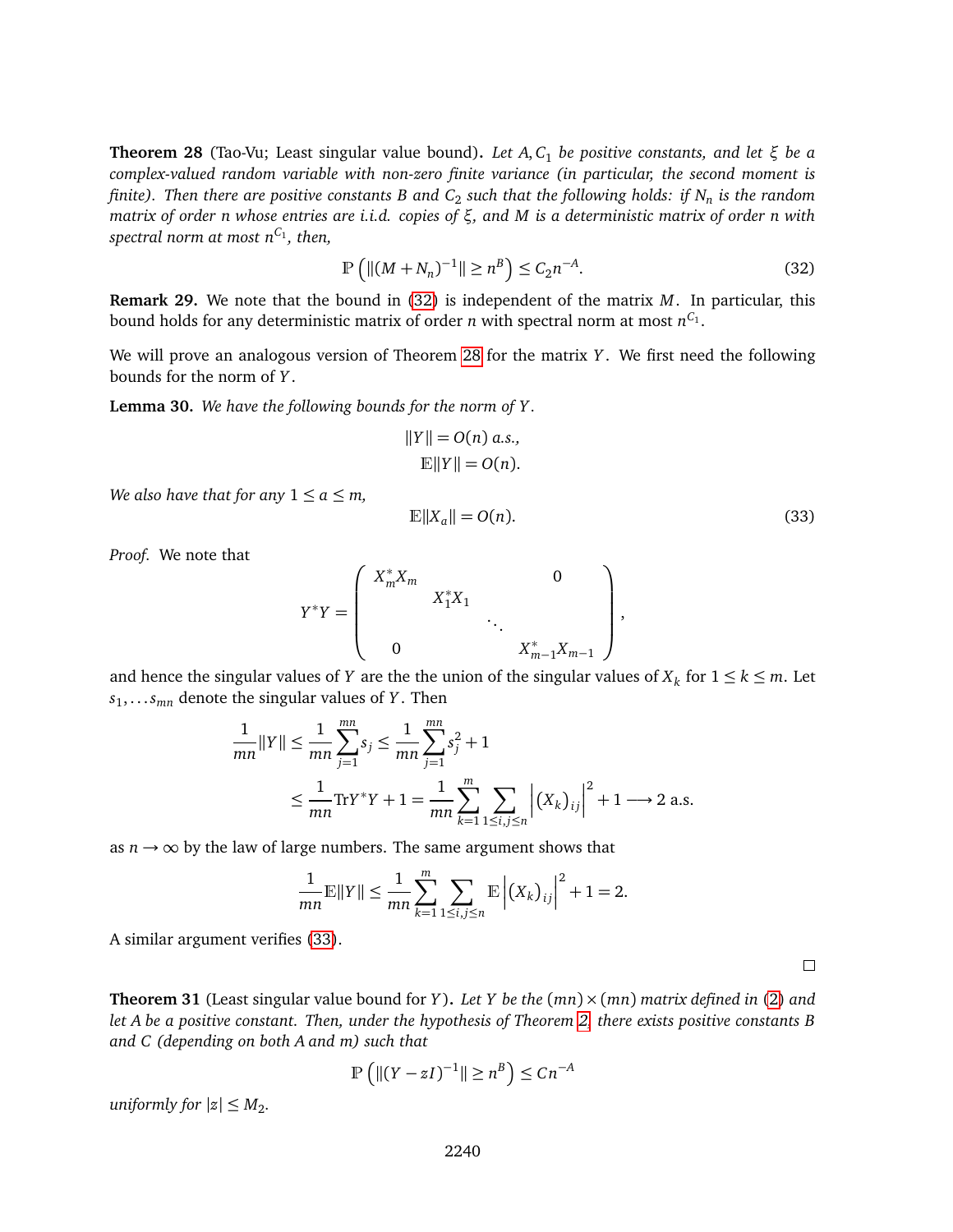<span id="page-21-1"></span>**Theorem 28** (Tao-Vu; Least singular value bound)**.** *Let A*, *C*<sup>1</sup> *be positive constants, and let ξ be a complex-valued random variable with non-zero finite variance (in particular, the second moment is finite). Then there are positive constants B and C*<sup>2</sup> *such that the following holds: if N<sup>n</sup> is the random matrix of order n whose entries are i.i.d. copies of ξ, and M is a deterministic matrix of order n with spectral norm at most nC*<sup>1</sup> *, then,*

<span id="page-21-0"></span>
$$
\mathbb{P}\left(\|(M+N_n)^{-1}\| \ge n^B\right) \le C_2 n^{-A}.\tag{32}
$$

<span id="page-21-4"></span>**Remark 29.** We note that the bound in [\(32\)](#page-21-0) is independent of the matrix *M*. In particular, this bound holds for any deterministic matrix of order  $n$  with spectral norm at most  $n^{C_1}.$ 

We will prove an analogous version of Theorem [28](#page-21-1) for the matrix *Y* . We first need the following bounds for the norm of *Y* .

<span id="page-21-3"></span>**Lemma 30.** *We have the following bounds for the norm of Y .*

$$
||Y|| = O(n) a.s.,
$$
  

$$
\mathbb{E}||Y|| = O(n).
$$

*We also have that for any*  $1 \le a \le m$ ,

<span id="page-21-2"></span>
$$
\mathbb{E}\|X_a\| = O(n). \tag{33}
$$

*Proof.* We note that

$$
Y^*Y = \left( \begin{array}{cccc} X_m^*X_m & & & 0 \\ & X_1^*X_1 & & \\ & & \ddots & \\ 0 & & & X_{m-1}^*X_{m-1} \end{array} \right),
$$

and hence the singular values of *Y* are the the union of the singular values of  $X_k$  for  $1 \leq k \leq m$ . Let *s*1 , . . .*smn* denote the singular values of *Y* . Then

$$
\frac{1}{mn} ||Y|| \le \frac{1}{mn} \sum_{j=1}^{mn} s_j \le \frac{1}{mn} \sum_{j=1}^{mn} s_j^2 + 1
$$
  

$$
\le \frac{1}{mn} \text{Tr} Y^* Y + 1 = \frac{1}{mn} \sum_{k=1}^{m} \sum_{1 \le i,j \le n} \left| (X_k)_{ij} \right|^2 + 1 \longrightarrow 2 \text{ a.s.}
$$

as  $n \rightarrow \infty$  by the law of large numbers. The same argument shows that

$$
\frac{1}{mn}\mathbb{E}\|Y\| \le \frac{1}{mn}\sum_{k=1}^{m}\sum_{1\le i,j\le n}\mathbb{E}\left|\left(X_k\right)_{ij}\right|^2 + 1 = 2.
$$

A similar argument verifies [\(33\)](#page-21-2).

<span id="page-21-5"></span>**Theorem 31** (Least singular value bound for *Y*). Let *Y* be the  $(mn) \times (mn)$  *matrix defined in* [\(2\)](#page-2-3) *and let A be a positive constant. Then, under the hypothesis of Theorem [2,](#page-2-0) there exists positive constants B and C (depending on both A and m) such that*

$$
\mathbb{P}\left(\left\|(Y-zI)^{-1}\right\|\geq n^B\right)\leq Cn^{-A}
$$

*uniformly for*  $|z| \leq M_2$ .

 $\Box$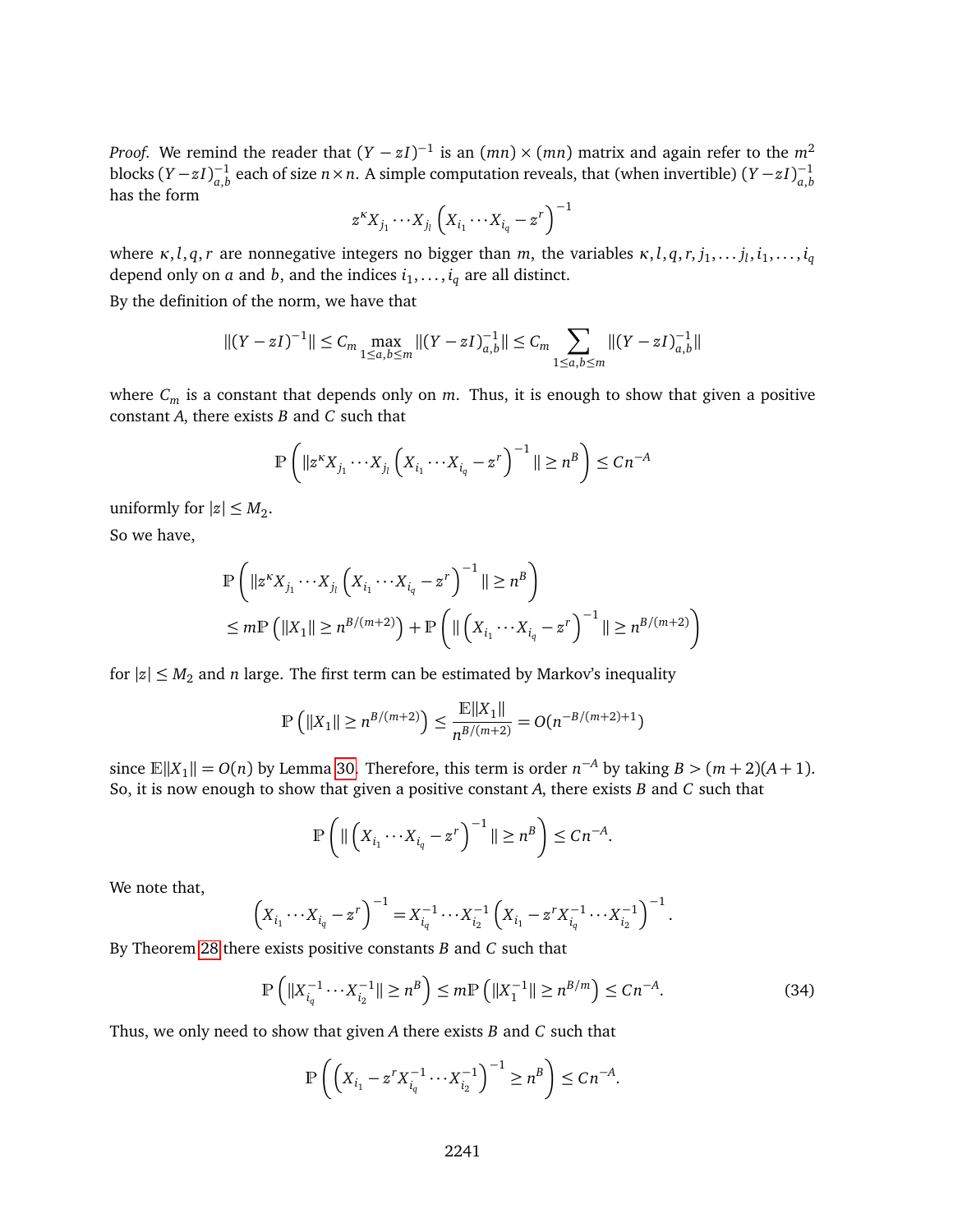*Proof.* We remind the reader that  $(Y - zI)^{-1}$  is an  $(mn) \times (mn)$  matrix and again refer to the  $m^2$ blocks  $(Y - zI)_{a,b}^{-1}$  $a_{a,b}^{-1}$  each of size *n* × *n*. A simple computation reveals, that (when invertible) (*Y* − *zI*) $_{a,b}^{-1}$ *a*,*b* has the form

$$
z^{k}X_{j_1}\cdots X_{j_l}\left(X_{i_1}\cdots X_{i_q}-z^r\right)^{-1}
$$

where  $\kappa$ , *l*,  $q$ ,  $r$  are nonnegative integers no bigger than  $m$ , the variables  $\kappa$ , *l*,  $q$ ,  $r$ ,  $j_1, \ldots$   $j_l$ ,  $i_1, \ldots, i_q$ depend only on  $a$  and  $b$ , and the indices  $i_1, \ldots, i_q$  are all distinct.

By the definition of the norm, we have that

$$
||(Y - zI)^{-1}|| \leq C_m \max_{1 \leq a,b \leq m}||(Y - zI)^{-1}_{a,b}|| \leq C_m \sum_{1 \leq a,b \leq m}||(Y - zI)^{-1}_{a,b}||
$$

where  $C_m$  is a constant that depends only on  $m$ . Thus, it is enough to show that given a positive constant *A*, there exists *B* and *C* such that

$$
\mathbb{P}\left(\|z^k X_{j_1} \cdots X_{j_l} \left(X_{i_1} \cdots X_{i_q} - z^r\right)^{-1}\| \ge n^B\right) \le Cn^{-A}
$$

uniformly for  $|z| \le M_2$ .

So we have,

$$
\mathbb{P}\left(\|z^k X_{j_1} \cdots X_{j_l} \left(X_{i_1} \cdots X_{i_q} - z^r\right)^{-1}\| \ge n^B\right) \le m \mathbb{P}\left(\|X_1\| \ge n^{B/(m+2)}\right) + \mathbb{P}\left(\|\left(X_{i_1} \cdots X_{i_q} - z^r\right)^{-1}\| \ge n^{B/(m+2)}\right)
$$

for  $|z| \leq M_2$  and *n* large. The first term can be estimated by Markov's inequality

$$
\mathbb{P}\left(\|X_1\| \ge n^{B/(m+2)}\right) \le \frac{\mathbb{E}\|X_1\|}{n^{B/(m+2)}} = O(n^{-B/(m+2)+1})
$$

since  $\mathbb{E}||X_1|| = O(n)$  by Lemma [30.](#page-21-3) Therefore, this term is order  $n^{-A}$  by taking  $B > (m+2)(A+1)$ . So, it is now enough to show that given a positive constant *A*, there exists *B* and *C* such that

$$
\mathbb{P}\left(\|\left(X_{i_1}\cdots X_{i_q}-z^r\right)^{-1}\|\geq n^B\right)\leq Cn^{-A}.
$$

We note that,

$$
\left(X_{i_1}\cdots X_{i_q}-z^r\right)^{-1}=X_{i_q}^{-1}\cdots X_{i_2}^{-1}\left(X_{i_1}-z^rX_{i_q}^{-1}\cdots X_{i_2}^{-1}\right)^{-1}.
$$

By Theorem [28](#page-21-1) there exists positive constants *B* and *C* such that

$$
\mathbb{P}\left(\|X_{i_q}^{-1} \cdots X_{i_2}^{-1}\| \ge n^B\right) \le m \mathbb{P}\left(\|X_1^{-1}\| \ge n^{B/m}\right) \le Cn^{-A}.\tag{34}
$$

Thus, we only need to show that given *A* there exists *B* and *C* such that

<span id="page-22-0"></span>
$$
\mathbb{P}\left(\left(X_{i_1} - z^r X_{i_q}^{-1} \cdots X_{i_2}^{-1}\right)^{-1} \ge n^B\right) \le C n^{-A}.
$$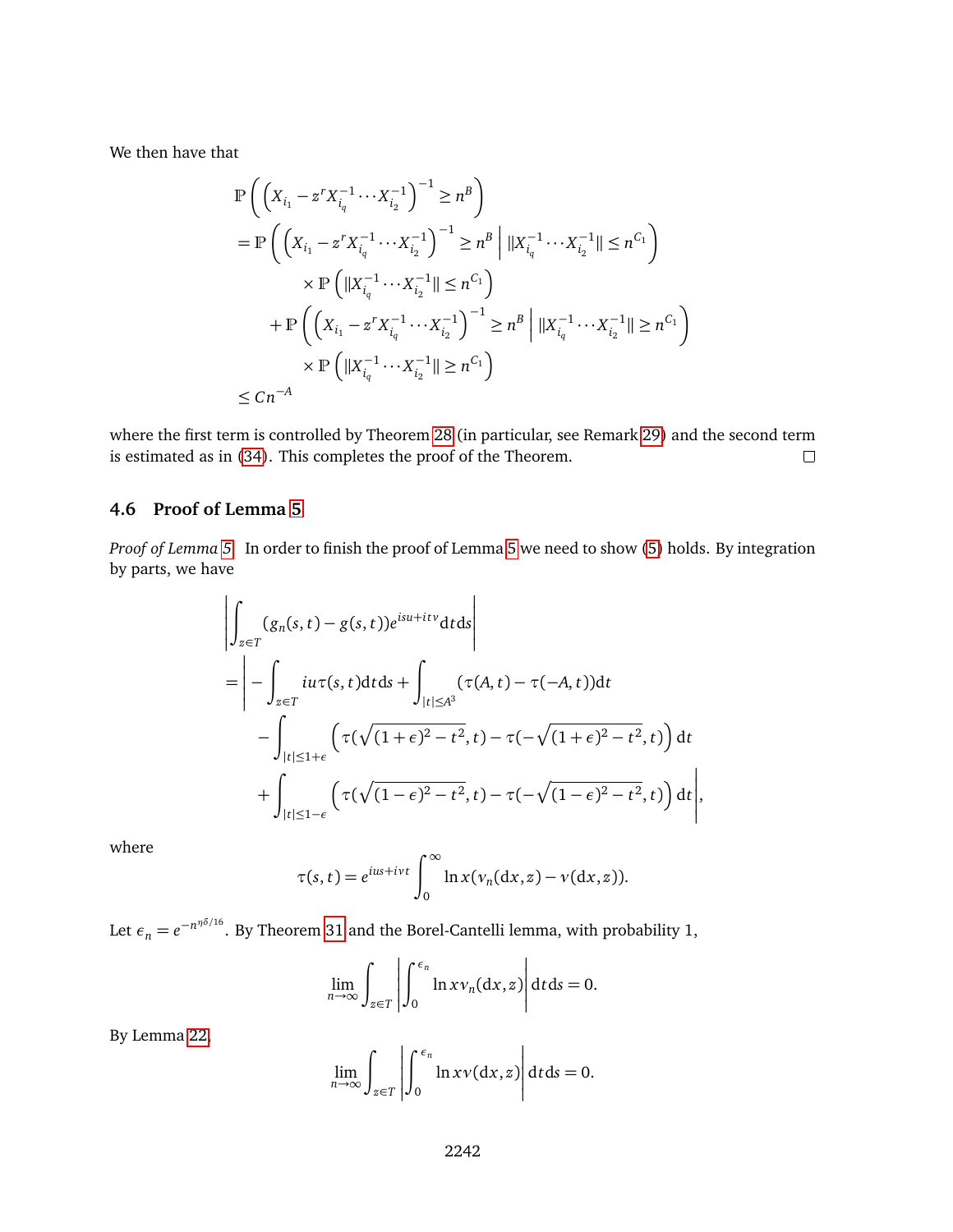We then have that

$$
\begin{split} &\mathbb{P}\left(\left(X_{i_{1}}-z^{r}X_{i_{q}}^{-1}\cdots X_{i_{2}}^{-1}\right)^{-1}\geq n^{B}\right) \\ &=\mathbb{P}\left(\left(X_{i_{1}}-z^{r}X_{i_{q}}^{-1}\cdots X_{i_{2}}^{-1}\right)^{-1}\geq n^{B}\,\middle|\,||X_{i_{q}}^{-1}\cdots X_{i_{2}}^{-1}||\leq n^{C_{1}}\right) \\ &\times\mathbb{P}\left(\left||X_{i_{q}}^{-1}\cdots X_{i_{2}}^{-1}||\leq n^{C_{1}}\right) \\ &+\mathbb{P}\left(\left(X_{i_{1}}-z^{r}X_{i_{q}}^{-1}\cdots X_{i_{2}}^{-1}\right)^{-1}\geq n^{B}\,\middle|\,||X_{i_{q}}^{-1}\cdots X_{i_{2}}^{-1}||\geq n^{C_{1}}\right) \\ &\times\mathbb{P}\left(\left||X_{i_{q}}^{-1}\cdots X_{i_{2}}^{-1}||\geq n^{C_{1}}\right)\right) \\ &\leq Cn^{-A} \end{split}
$$

where the first term is controlled by Theorem [28](#page-21-1) (in particular, see Remark [29\)](#page-21-4) and the second term is estimated as in [\(34\)](#page-22-0). This completes the proof of the Theorem.  $\Box$ 

# **4.6 Proof of Lemma [5](#page-2-2)**

*Proof of Lemma [5.](#page-2-2)* In order to finish the proof of Lemma [5](#page-2-2) we need to show [\(5\)](#page-6-3) holds. By integration by parts, we have

$$
\left| \int_{z \in T} (g_n(s, t) - g(s, t)) e^{isu + itv} dt ds \right|
$$
  
\n
$$
= \left| - \int_{z \in T} i u \tau(s, t) dt ds + \int_{|t| \le A^3} (\tau(A, t) - \tau(-A, t)) dt - \int_{|t| \le 1 + \epsilon} \left( \tau(\sqrt{(1 + \epsilon)^2 - t^2}, t) - \tau(-\sqrt{(1 + \epsilon)^2 - t^2}, t) \right) dt + \int_{|t| \le 1 - \epsilon} \left( \tau(\sqrt{(1 - \epsilon)^2 - t^2}, t) - \tau(-\sqrt{(1 - \epsilon)^2 - t^2}, t) \right) dt \right|,
$$

where

$$
\tau(s,t) = e^{ius+ivt} \int_0^\infty \ln x(v_n(\mathrm{d}x,z) - v(\mathrm{d}x,z)).
$$

Let  $\epsilon_n = e^{-n^{\eta\delta/16}}.$  By Theorem [31](#page-21-5) and the Borel-Cantelli lemma, with probability 1,

$$
\lim_{n \to \infty} \int_{z \in T} \left| \int_0^{\epsilon_n} \ln x v_n(dx, z) \right| dt ds = 0.
$$

 $\overline{a}$ 

By Lemma [22,](#page-18-2)

$$
\lim_{n \to \infty} \int_{z \in T} \left| \int_0^{\epsilon_n} \ln x v(\mathrm{d}x, z) \right| \mathrm{d}t \mathrm{d}s = 0.
$$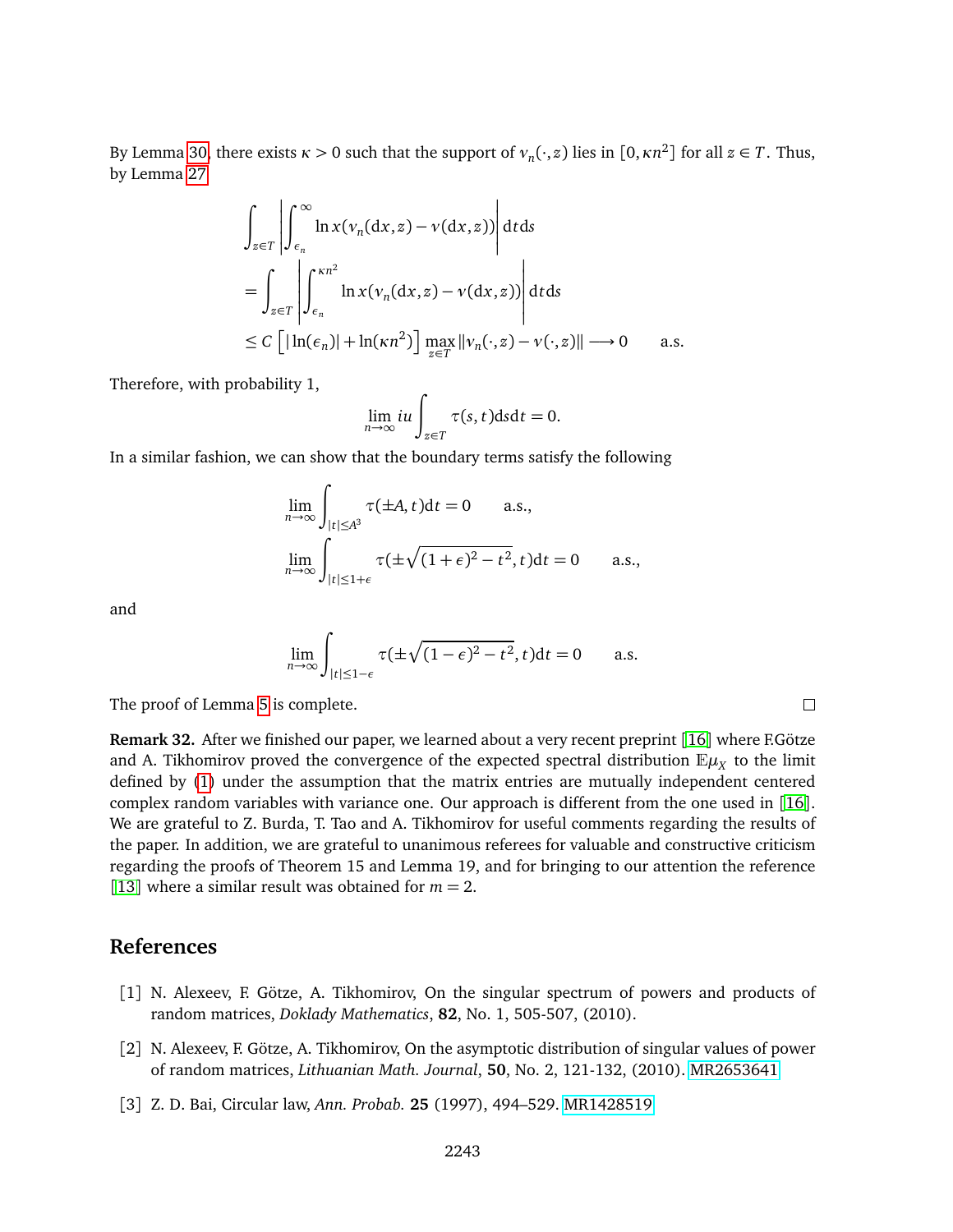By Lemma [30,](#page-21-3) there exists  $\kappa > 0$  such that the support of  $v_n(\cdot, z)$  lies in  $[0, \kappa n^2]$  for all  $z \in T$ . Thus, by Lemma [27](#page-19-2)

$$
\int_{z \in T} \left| \int_{\epsilon_n}^{\infty} \ln x (v_n(dx, z) - v(dx, z)) \right| dt ds
$$
\n
$$
= \int_{z \in T} \left| \int_{\epsilon_n}^{\kappa n^2} \ln x (v_n(dx, z) - v(dx, z)) \right| dt ds
$$
\n
$$
\leq C \left[ |\ln(\epsilon_n)| + \ln(\kappa n^2) \right] \max_{z \in T} ||v_n(\cdot, z) - v(\cdot, z)|| \longrightarrow 0 \quad \text{a.s.}
$$

Therefore, with probability 1,

$$
\lim_{n\to\infty}iu\int_{z\in T}\tau(s,t)\mathrm{d} s\mathrm{d} t=0.
$$

In a similar fashion, we can show that the boundary terms satisfy the following

$$
\lim_{n \to \infty} \int_{|t| \le A^3} \tau(\pm A, t) dt = 0 \quad \text{a.s.,}
$$

$$
\lim_{n \to \infty} \int_{|t| \le 1 + \epsilon} \tau(\pm \sqrt{(1 + \epsilon)^2 - t^2}, t) dt = 0 \quad \text{a.s.,}
$$

and

$$
\lim_{n \to \infty} \int_{|t| \le 1 - \epsilon} \tau(\pm \sqrt{(1 - \epsilon)^2 - t^2}, t) dt = 0 \quad \text{a.s.}
$$

 $\Box$ 

The proof of Lemma [5](#page-2-2) is complete.

**Remark 32.** After we finished our paper, we learned about a very recent preprint [[16](#page-25-14)] where F.Götze and A. Tikhomirov proved the convergence of the expected spectral distribution  $\mathbb{E}\mu_X$  to the limit defined by [\(1\)](#page-2-4) under the assumption that the matrix entries are mutually independent centered complex random variables with variance one. Our approach is different from the one used in [[16](#page-25-14)]. We are grateful to Z. Burda, T. Tao and A. Tikhomirov for useful comments regarding the results of the paper. In addition, we are grateful to unanimous referees for valuable and constructive criticism regarding the proofs of Theorem 15 and Lemma 19, and for bringing to our attention the reference [[13](#page-25-15)] where a similar result was obtained for  $m = 2$ .

# **References**

- <span id="page-24-1"></span>[1] N. Alexeev, F. Götze, A. Tikhomirov, On the singular spectrum of powers and products of random matrices, *Doklady Mathematics*, **82**, No. 1, 505-507, (2010).
- <span id="page-24-2"></span>[2] N. Alexeev, F. Götze, A. Tikhomirov, On the asymptotic distribution of singular values of power of random matrices, *Lithuanian Math. Journal*, **50**, No. 2, 121-132, (2010). [MR2653641](http://www.ams.org/mathscinet-getitem?mr=2653641)
- <span id="page-24-0"></span>[3] Z. D. Bai, Circular law, *Ann. Probab.* **25** (1997), 494–529. [MR1428519](http://www.ams.org/mathscinet-getitem?mr=1428519)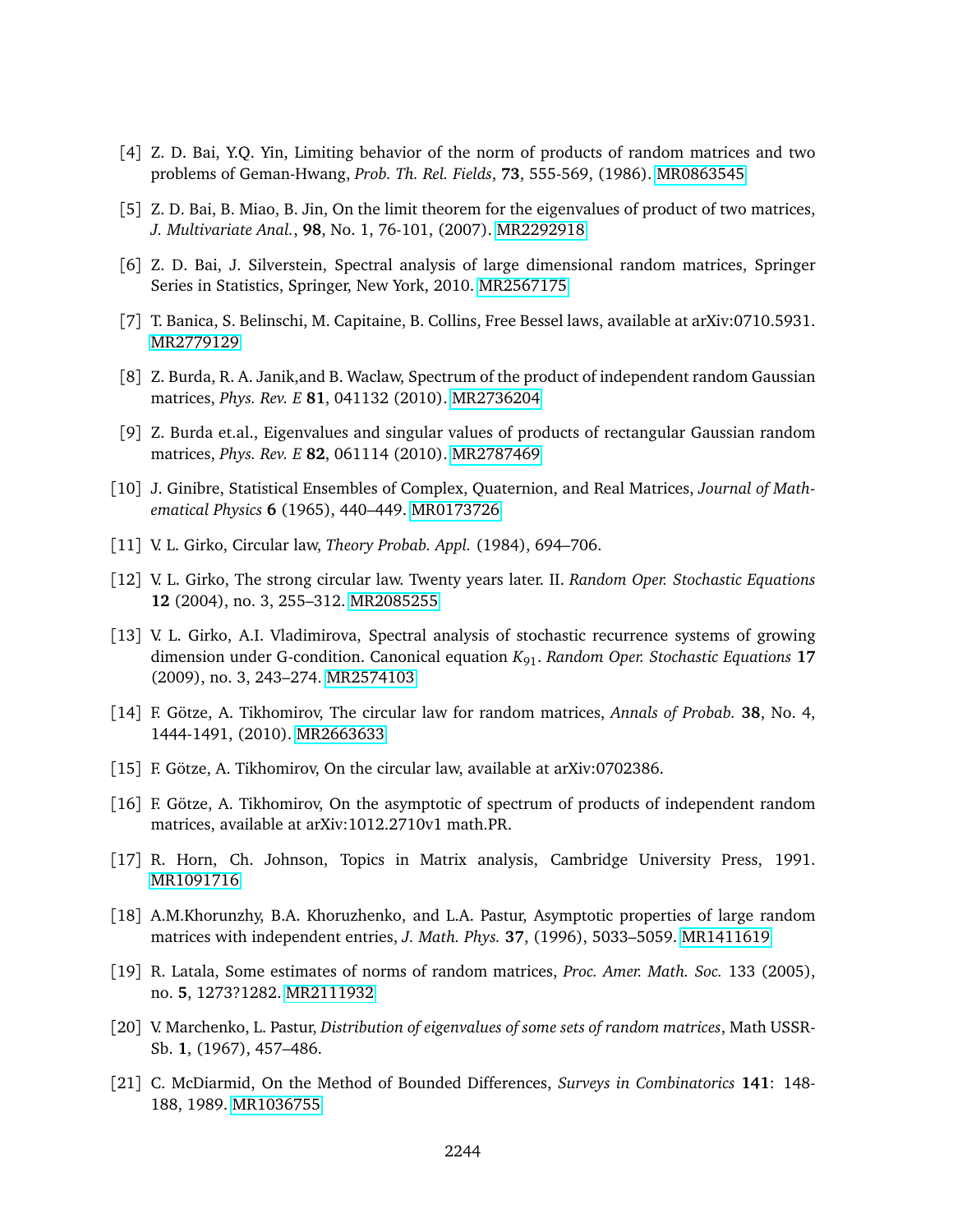- <span id="page-25-6"></span>[4] Z. D. Bai, Y.Q. Yin, Limiting behavior of the norm of products of random matrices and two problems of Geman-Hwang, *Prob. Th. Rel. Fields*, **73**, 555-569, (1986). [MR0863545](http://www.ams.org/mathscinet-getitem?mr=0863545)
- <span id="page-25-8"></span>[5] Z. D. Bai, B. Miao, B. Jin, On the limit theorem for the eigenvalues of product of two matrices, *J. Multivariate Anal.*, **98**, No. 1, 76-101, (2007). [MR2292918](http://www.ams.org/mathscinet-getitem?mr=2292918)
- <span id="page-25-0"></span>[6] Z. D. Bai, J. Silverstein, Spectral analysis of large dimensional random matrices, Springer Series in Statistics, Springer, New York, 2010. [MR2567175](http://www.ams.org/mathscinet-getitem?mr=2567175)
- <span id="page-25-9"></span>[7] T. Banica, S. Belinschi, M. Capitaine, B. Collins, Free Bessel laws, available at arXiv:0710.5931. [MR2779129](http://www.ams.org/mathscinet-getitem?mr=2779129)
- <span id="page-25-5"></span>[8] Z. Burda, R. A. Janik,and B. Waclaw, Spectrum of the product of independent random Gaussian matrices, *Phys. Rev. E* **81**, 041132 (2010). [MR2736204](http://www.ams.org/mathscinet-getitem?mr=2736204)
- <span id="page-25-7"></span>[9] Z. Burda et.al., Eigenvalues and singular values of products of rectangular Gaussian random matrices, *Phys. Rev. E* **82**, 061114 (2010). [MR2787469](http://www.ams.org/mathscinet-getitem?mr=2787469)
- <span id="page-25-1"></span>[10] J. Ginibre, Statistical Ensembles of Complex, Quaternion, and Real Matrices, *Journal of Mathematical Physics* **6** (1965), 440–449. [MR0173726](http://www.ams.org/mathscinet-getitem?mr=0173726)
- <span id="page-25-2"></span>[11] V. L. Girko, Circular law, *Theory Probab. Appl.* (1984), 694–706.
- [12] V. L. Girko, The strong circular law. Twenty years later. II. *Random Oper. Stochastic Equations* **12** (2004), no. 3, 255–312. [MR2085255](http://www.ams.org/mathscinet-getitem?mr=2085255)
- <span id="page-25-15"></span>[13] V. L. Girko, A.I. Vladimirova, Spectral analysis of stochastic recurrence systems of growing dimension under G-condition. Canonical equation *K*91. *Random Oper. Stochastic Equations* **17** (2009), no. 3, 243–274. [MR2574103](http://www.ams.org/mathscinet-getitem?mr=2574103)
- <span id="page-25-4"></span>[14] F. Götze, A. Tikhomirov, The circular law for random matrices, *Annals of Probab.* **38**, No. 4, 1444-1491, (2010). [MR2663633](http://www.ams.org/mathscinet-getitem?mr=2663633)
- <span id="page-25-3"></span>[15] F. Götze, A. Tikhomirov, On the circular law, available at arXiv:0702386.
- <span id="page-25-14"></span>[16] F. Götze, A. Tikhomirov, On the asymptotic of spectrum of products of independent random matrices, available at arXiv:1012.2710v1 math.PR.
- <span id="page-25-11"></span>[17] R. Horn, Ch. Johnson, Topics in Matrix analysis, Cambridge University Press, 1991. [MR1091716](http://www.ams.org/mathscinet-getitem?mr=1091716)
- <span id="page-25-12"></span>[18] A.M.Khorunzhy, B.A. Khoruzhenko, and L.A. Pastur, Asymptotic properties of large random matrices with independent entries, *J. Math. Phys.* **37**, (1996), 5033–5059. [MR1411619](http://www.ams.org/mathscinet-getitem?mr=1411619)
- [19] R. Latala, Some estimates of norms of random matrices, *Proc. Amer. Math. Soc.* 133 (2005), no. **5**, 1273?1282. [MR2111932](http://www.ams.org/mathscinet-getitem?mr=2111932)
- <span id="page-25-10"></span>[20] V. Marchenko, L. Pastur, *Distribution of eigenvalues of some sets of random matrices*, Math USSR-Sb. **1**, (1967), 457–486.
- <span id="page-25-13"></span>[21] C. McDiarmid, On the Method of Bounded Differences, *Surveys in Combinatorics* **141**: 148- 188, 1989. [MR1036755](http://www.ams.org/mathscinet-getitem?mr=1036755)